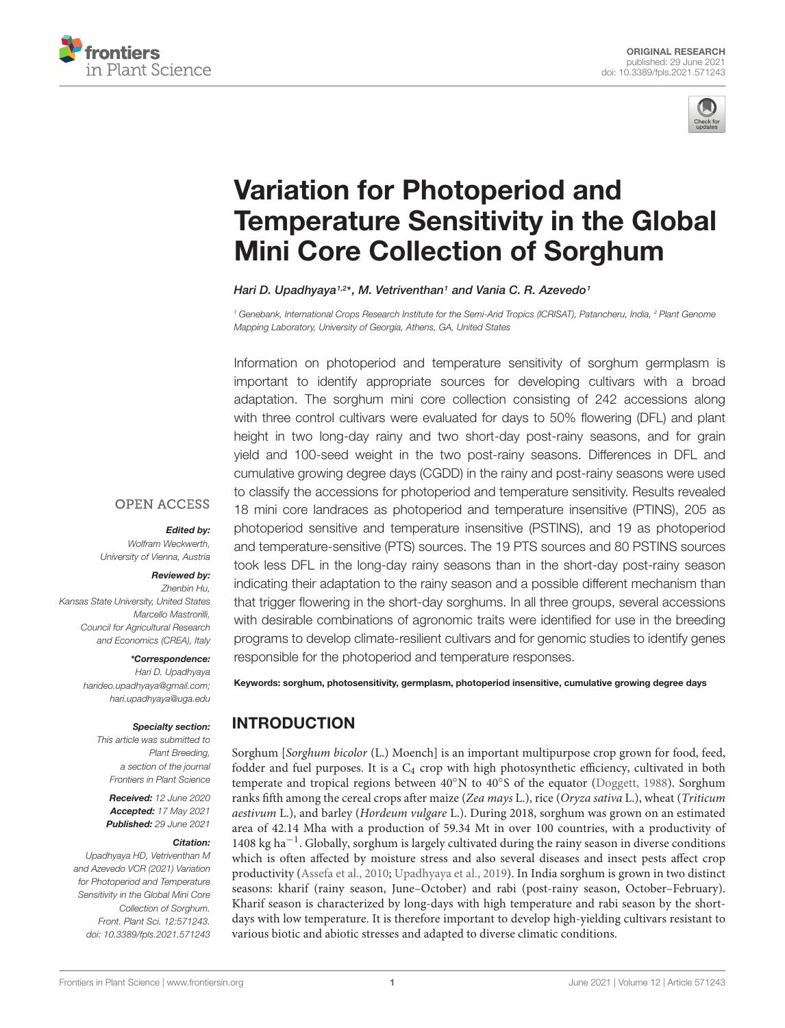



## Variation for Photoperiod and [Temperature Sensitivity in the Global](https://www.frontiersin.org/articles/10.3389/fpls.2021.571243/full) Mini Core Collection of Sorghum

### Hari D. Upadhyaya<sup>1,2\*</sup>, M. Vetriventhan<sup>1</sup> and Vania C. R. Azevedo<sup>1</sup>

<sup>1</sup> Genebank, International Crops Research Institute for the Semi-Arid Tropics (ICRISAT), Patancheru, India, <sup>2</sup> Plant Genome Mapping Laboratory, University of Georgia, Athens, GA, United States

Information on photoperiod and temperature sensitivity of sorghum germplasm is important to identify appropriate sources for developing cultivars with a broad adaptation. The sorghum mini core collection consisting of 242 accessions along with three control cultivars were evaluated for days to 50% flowering (DFL) and plant height in two long-day rainy and two short-day post-rainy seasons, and for grain yield and 100-seed weight in the two post-rainy seasons. Differences in DFL and cumulative growing degree days (CGDD) in the rainy and post-rainy seasons were used to classify the accessions for photoperiod and temperature sensitivity. Results revealed 18 mini core landraces as photoperiod and temperature insensitive (PTINS), 205 as photoperiod sensitive and temperature insensitive (PSTINS), and 19 as photoperiod and temperature-sensitive (PTS) sources. The 19 PTS sources and 80 PSTINS sources took less DFL in the long-day rainy seasons than in the short-day post-rainy season indicating their adaptation to the rainy season and a possible different mechanism than that trigger flowering in the short-day sorghums. In all three groups, several accessions with desirable combinations of agronomic traits were identified for use in the breeding programs to develop climate-resilient cultivars and for genomic studies to identify genes responsible for the photoperiod and temperature responses.

### **OPEN ACCESS**

### Edited by:

Wolfram Weckwerth, University of Vienna, Austria

### Reviewed by:

Zhenbin Hu, Kansas State University, United States Marcello Mastrorilli, Council for Agricultural Research and Economics (CREA), Italy

### \*Correspondence:

Hari D. Upadhyaya harideo.upadhyaya@gmail.com; hari.upadhyaya@uga.edu

### Specialty section:

This article was submitted to Plant Breeding, a section of the journal Frontiers in Plant Science

Received: 12 June 2020 Accepted: 17 May 2021 Published: 29 June 2021

### Citation:

Upadhyaya HD, Vetriventhan M and Azevedo VCR (2021) Variation for Photoperiod and Temperature Sensitivity in the Global Mini Core Collection of Sorghum. Front. Plant Sci. 12:571243. doi: [10.3389/fpls.2021.571243](https://doi.org/10.3389/fpls.2021.571243) Keywords: sorghum, photosensitivity, germplasm, photoperiod insensitive, cumulative growing degree days

### INTRODUCTION

Sorghum [Sorghum bicolor (L.) Moench] is an important multipurpose crop grown for food, feed, fodder and fuel purposes. It is a  $C_4$  crop with high photosynthetic efficiency, cultivated in both temperate and tropical regions between 40°N to 40°S of the equator [\(Doggett,](#page-13-0) [1988\)](#page-13-0). Sorghum ranks fifth among the cereal crops after maize (Zea mays L.), rice (Oryza sativa L.), wheat (Triticum aestivum L.), and barley (Hordeum vulgare L.). During 2018, sorghum was grown on an estimated area of 42.14 Mha with a production of 59.34 Mt in over 100 countries, with a productivity of 1408 kg ha−<sup>1</sup> . Globally, sorghum is largely cultivated during the rainy season in diverse conditions which is often affected by moisture stress and also several diseases and insect pests affect crop productivity [\(Assefa et al.,](#page-13-1) [2010;](#page-13-1) [Upadhyaya et al.,](#page-14-0) [2019\)](#page-14-0). In India sorghum is grown in two distinct seasons: kharif (rainy season, June–October) and rabi (post-rainy season, October–February). Kharif season is characterized by long-days with high temperature and rabi season by the shortdays with low temperature. It is therefore important to develop high-yielding cultivars resistant to various biotic and abiotic stresses and adapted to diverse climatic conditions.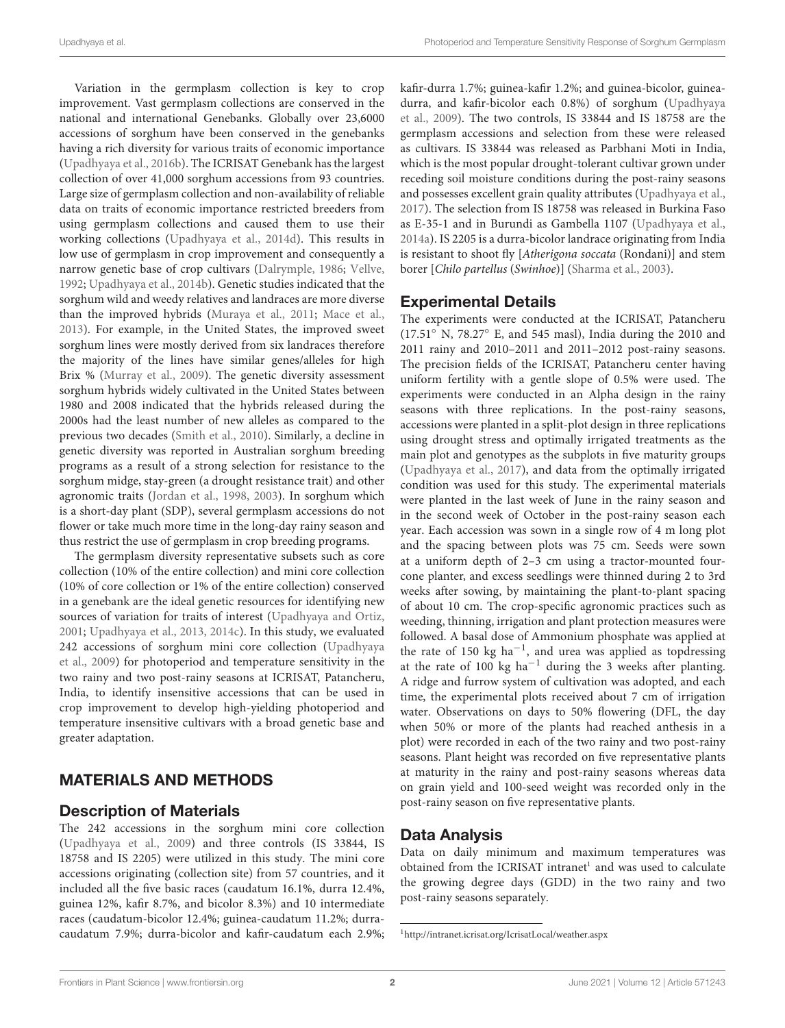Variation in the germplasm collection is key to crop improvement. Vast germplasm collections are conserved in the national and international Genebanks. Globally over 23,6000 accessions of sorghum have been conserved in the genebanks having a rich diversity for various traits of economic importance [\(Upadhyaya et al.,](#page-14-1) [2016b\)](#page-14-1). The ICRISAT Genebank has the largest collection of over 41,000 sorghum accessions from 93 countries. Large size of germplasm collection and non-availability of reliable data on traits of economic importance restricted breeders from using germplasm collections and caused them to use their working collections [\(Upadhyaya et al.,](#page-14-2) [2014d\)](#page-14-2). This results in low use of germplasm in crop improvement and consequently a narrow genetic base of crop cultivars [\(Dalrymple,](#page-13-2) [1986;](#page-13-2) [Vellve,](#page-14-3) [1992;](#page-14-3) [Upadhyaya et al.,](#page-13-3) [2014b\)](#page-13-3). Genetic studies indicated that the sorghum wild and weedy relatives and landraces are more diverse than the improved hybrids [\(Muraya et al.,](#page-13-4) [2011;](#page-13-4) [Mace et al.,](#page-13-5) [2013\)](#page-13-5). For example, in the United States, the improved sweet sorghum lines were mostly derived from six landraces therefore the majority of the lines have similar genes/alleles for high Brix % [\(Murray et al.,](#page-13-6) [2009\)](#page-13-6). The genetic diversity assessment sorghum hybrids widely cultivated in the United States between 1980 and 2008 indicated that the hybrids released during the 2000s had the least number of new alleles as compared to the previous two decades [\(Smith et al.,](#page-13-7) [2010\)](#page-13-7). Similarly, a decline in genetic diversity was reported in Australian sorghum breeding programs as a result of a strong selection for resistance to the sorghum midge, stay-green (a drought resistance trait) and other agronomic traits [\(Jordan et al.,](#page-13-8) [1998,](#page-13-8) [2003\)](#page-13-9). In sorghum which is a short-day plant (SDP), several germplasm accessions do not flower or take much more time in the long-day rainy season and thus restrict the use of germplasm in crop breeding programs.

The germplasm diversity representative subsets such as core collection (10% of the entire collection) and mini core collection (10% of core collection or 1% of the entire collection) conserved in a genebank are the ideal genetic resources for identifying new sources of variation for traits of interest [\(Upadhyaya and Ortiz,](#page-13-10) [2001;](#page-13-10) [Upadhyaya et al.,](#page-13-11) [2013,](#page-13-11) [2014c\)](#page-13-12). In this study, we evaluated 242 accessions of sorghum mini core collection [\(Upadhyaya](#page-14-4) [et al.,](#page-14-4) [2009\)](#page-14-4) for photoperiod and temperature sensitivity in the two rainy and two post-rainy seasons at ICRISAT, Patancheru, India, to identify insensitive accessions that can be used in crop improvement to develop high-yielding photoperiod and temperature insensitive cultivars with a broad genetic base and greater adaptation.

### MATERIALS AND METHODS

### Description of Materials

The 242 accessions in the sorghum mini core collection [\(Upadhyaya et al.,](#page-14-4) [2009\)](#page-14-4) and three controls (IS 33844, IS 18758 and IS 2205) were utilized in this study. The mini core accessions originating (collection site) from 57 countries, and it included all the five basic races (caudatum 16.1%, durra 12.4%, guinea 12%, kafir 8.7%, and bicolor 8.3%) and 10 intermediate races (caudatum-bicolor 12.4%; guinea-caudatum 11.2%; durracaudatum 7.9%; durra-bicolor and kafir-caudatum each 2.9%;

kafir-durra 1.7%; guinea-kafir 1.2%; and guinea-bicolor, guineadurra, and kafir-bicolor each 0.8%) of sorghum [\(Upadhyaya](#page-14-4) [et al.,](#page-14-4) [2009\)](#page-14-4). The two controls, IS 33844 and IS 18758 are the germplasm accessions and selection from these were released as cultivars. IS 33844 was released as Parbhani Moti in India, which is the most popular drought-tolerant cultivar grown under receding soil moisture conditions during the post-rainy seasons and possesses excellent grain quality attributes [\(Upadhyaya et al.,](#page-13-13) [2017\)](#page-13-13). The selection from IS 18758 was released in Burkina Faso as E-35-1 and in Burundi as Gambella 1107 [\(Upadhyaya et al.,](#page-13-14) [2014a\)](#page-13-14). IS 2205 is a durra-bicolor landrace originating from India is resistant to shoot fly [Atherigona soccata (Rondani)] and stem borer [Chilo partellus (Swinhoe)] [\(Sharma et al.,](#page-13-15) [2003\)](#page-13-15).

### Experimental Details

The experiments were conducted at the ICRISAT, Patancheru (17.51◦ N, 78.27◦ E, and 545 masl), India during the 2010 and 2011 rainy and 2010–2011 and 2011–2012 post-rainy seasons. The precision fields of the ICRISAT, Patancheru center having uniform fertility with a gentle slope of 0.5% were used. The experiments were conducted in an Alpha design in the rainy seasons with three replications. In the post-rainy seasons, accessions were planted in a split-plot design in three replications using drought stress and optimally irrigated treatments as the main plot and genotypes as the subplots in five maturity groups [\(Upadhyaya et al.,](#page-13-13) [2017\)](#page-13-13), and data from the optimally irrigated condition was used for this study. The experimental materials were planted in the last week of June in the rainy season and in the second week of October in the post-rainy season each year. Each accession was sown in a single row of 4 m long plot and the spacing between plots was 75 cm. Seeds were sown at a uniform depth of 2–3 cm using a tractor-mounted fourcone planter, and excess seedlings were thinned during 2 to 3rd weeks after sowing, by maintaining the plant-to-plant spacing of about 10 cm. The crop-specific agronomic practices such as weeding, thinning, irrigation and plant protection measures were followed. A basal dose of Ammonium phosphate was applied at the rate of 150 kg ha−<sup>1</sup> , and urea was applied as topdressing at the rate of 100 kg ha<sup>-1</sup> during the 3 weeks after planting. A ridge and furrow system of cultivation was adopted, and each time, the experimental plots received about 7 cm of irrigation water. Observations on days to 50% flowering (DFL, the day when 50% or more of the plants had reached anthesis in a plot) were recorded in each of the two rainy and two post-rainy seasons. Plant height was recorded on five representative plants at maturity in the rainy and post-rainy seasons whereas data on grain yield and 100-seed weight was recorded only in the post-rainy season on five representative plants.

### Data Analysis

Data on daily minimum and maximum temperatures was obtained from the ICRISAT intranet<sup>[1](#page-1-0)</sup> and was used to calculate the growing degree days (GDD) in the two rainy and two post-rainy seasons separately.

<span id="page-1-0"></span><sup>1</sup><http://intranet.icrisat.org/IcrisatLocal/weather.aspx>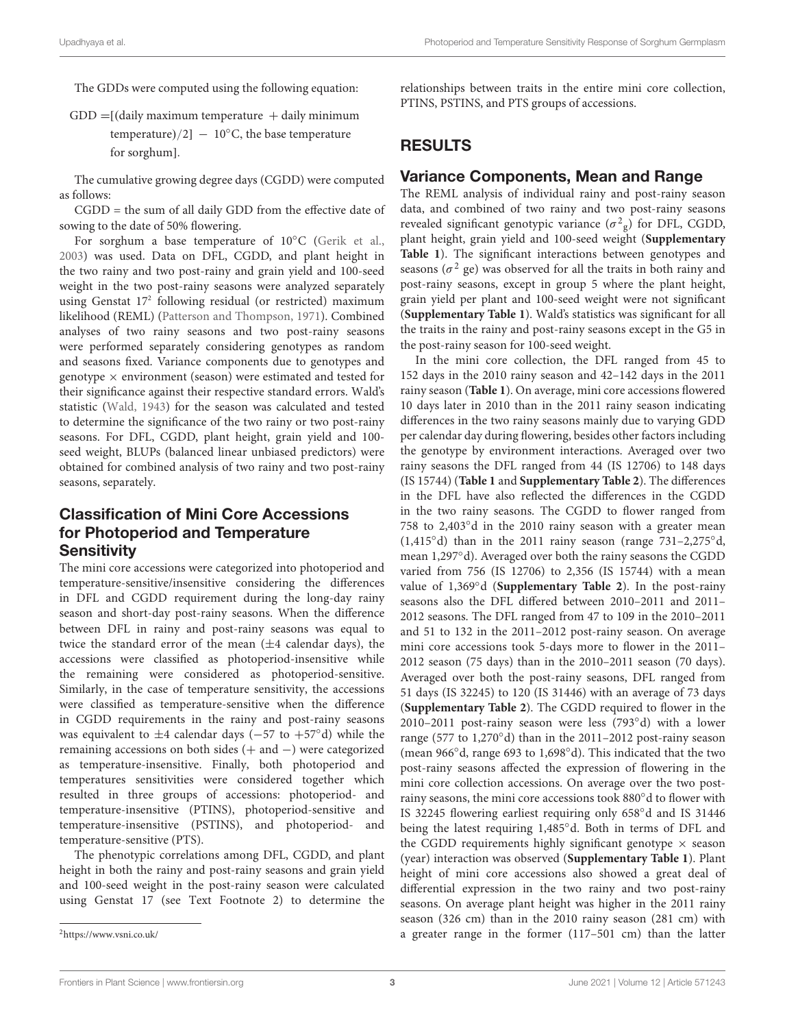The GDDs were computed using the following equation:

 $GDD = [$ (daily maximum temperature  $+$  daily minimum temperature)/2]  $-10^{\circ}$ C, the base temperature for sorghum].

The cumulative growing degree days (CGDD) were computed as follows:

CGDD = the sum of all daily GDD from the effective date of sowing to the date of 50% flowering.

For sorghum a base temperature of 10◦C [\(Gerik et al.,](#page-13-16) [2003\)](#page-13-16) was used. Data on DFL, CGDD, and plant height in the two rainy and two post-rainy and grain yield and 100-seed weight in the two post-rainy seasons were analyzed separately using Genstat 17[2](#page-2-0) following residual (or restricted) maximum likelihood (REML) [\(Patterson and Thompson,](#page-13-17) [1971\)](#page-13-17). Combined analyses of two rainy seasons and two post-rainy seasons were performed separately considering genotypes as random and seasons fixed. Variance components due to genotypes and genotype  $\times$  environment (season) were estimated and tested for their significance against their respective standard errors. Wald's statistic [\(Wald,](#page-14-5) [1943\)](#page-14-5) for the season was calculated and tested to determine the significance of the two rainy or two post-rainy seasons. For DFL, CGDD, plant height, grain yield and 100 seed weight, BLUPs (balanced linear unbiased predictors) were obtained for combined analysis of two rainy and two post-rainy seasons, separately.

### Classification of Mini Core Accessions for Photoperiod and Temperature **Sensitivity**

The mini core accessions were categorized into photoperiod and temperature-sensitive/insensitive considering the differences in DFL and CGDD requirement during the long-day rainy season and short-day post-rainy seasons. When the difference between DFL in rainy and post-rainy seasons was equal to twice the standard error of the mean  $(\pm 4$  calendar days), the accessions were classified as photoperiod-insensitive while the remaining were considered as photoperiod-sensitive. Similarly, in the case of temperature sensitivity, the accessions were classified as temperature-sensitive when the difference in CGDD requirements in the rainy and post-rainy seasons was equivalent to ±4 calendar days (−57 to +57◦d) while the remaining accessions on both sides (+ and −) were categorized as temperature-insensitive. Finally, both photoperiod and temperatures sensitivities were considered together which resulted in three groups of accessions: photoperiod- and temperature-insensitive (PTINS), photoperiod-sensitive and temperature-insensitive (PSTINS), and photoperiod- and temperature-sensitive (PTS).

The phenotypic correlations among DFL, CGDD, and plant height in both the rainy and post-rainy seasons and grain yield and 100-seed weight in the post-rainy season were calculated using Genstat 17 (see Text Footnote 2) to determine the relationships between traits in the entire mini core collection, PTINS, PSTINS, and PTS groups of accessions.

### RESULTS

### Variance Components, Mean and Range

The REML analysis of individual rainy and post-rainy season data, and combined of two rainy and two post-rainy seasons revealed significant genotypic variance  $(\sigma^2$ <sub>g</sub>) for DFL, CGDD, plant height, grain yield and 100-seed weight (**[Supplementary](#page-13-18) [Table 1](#page-13-18)**). The significant interactions between genotypes and seasons ( $\sigma^2$  ge) was observed for all the traits in both rainy and post-rainy seasons, except in group 5 where the plant height, grain yield per plant and 100-seed weight were not significant (**[Supplementary Table 1](#page-13-18)**). Wald's statistics was significant for all the traits in the rainy and post-rainy seasons except in the G5 in the post-rainy season for 100-seed weight.

In the mini core collection, the DFL ranged from 45 to 152 days in the 2010 rainy season and 42–142 days in the 2011 rainy season (**[Table 1](#page-3-0)**). On average, mini core accessions flowered 10 days later in 2010 than in the 2011 rainy season indicating differences in the two rainy seasons mainly due to varying GDD per calendar day during flowering, besides other factors including the genotype by environment interactions. Averaged over two rainy seasons the DFL ranged from 44 (IS 12706) to 148 days (IS 15744) (**[Table 1](#page-3-0)** and **[Supplementary Table 2](#page-13-18)**). The differences in the DFL have also reflected the differences in the CGDD in the two rainy seasons. The CGDD to flower ranged from 758 to 2,403°d in the 2010 rainy season with a greater mean  $(1,415°d)$  than in the 2011 rainy season (range 731–2,275°d, mean 1,297◦d). Averaged over both the rainy seasons the CGDD varied from 756 (IS 12706) to 2,356 (IS 15744) with a mean value of 1,369◦d (**[Supplementary Table 2](#page-13-18)**). In the post-rainy seasons also the DFL differed between 2010–2011 and 2011– 2012 seasons. The DFL ranged from 47 to 109 in the 2010–2011 and 51 to 132 in the 2011–2012 post-rainy season. On average mini core accessions took 5-days more to flower in the 2011– 2012 season (75 days) than in the 2010–2011 season (70 days). Averaged over both the post-rainy seasons, DFL ranged from 51 days (IS 32245) to 120 (IS 31446) with an average of 73 days (**[Supplementary Table 2](#page-13-18)**). The CGDD required to flower in the 2010–2011 post-rainy season were less (793◦d) with a lower range (577 to 1,270◦d) than in the 2011–2012 post-rainy season (mean 966◦d, range 693 to 1,698◦d). This indicated that the two post-rainy seasons affected the expression of flowering in the mini core collection accessions. On average over the two postrainy seasons, the mini core accessions took 880◦d to flower with IS 32245 flowering earliest requiring only 658◦d and IS 31446 being the latest requiring 1,485◦d. Both in terms of DFL and the CGDD requirements highly significant genotype  $\times$  season (year) interaction was observed (**[Supplementary Table 1](#page-13-18)**). Plant height of mini core accessions also showed a great deal of differential expression in the two rainy and two post-rainy seasons. On average plant height was higher in the 2011 rainy season (326 cm) than in the 2010 rainy season (281 cm) with a greater range in the former (117–501 cm) than the latter

<span id="page-2-0"></span><sup>2</sup><https://www.vsni.co.uk/>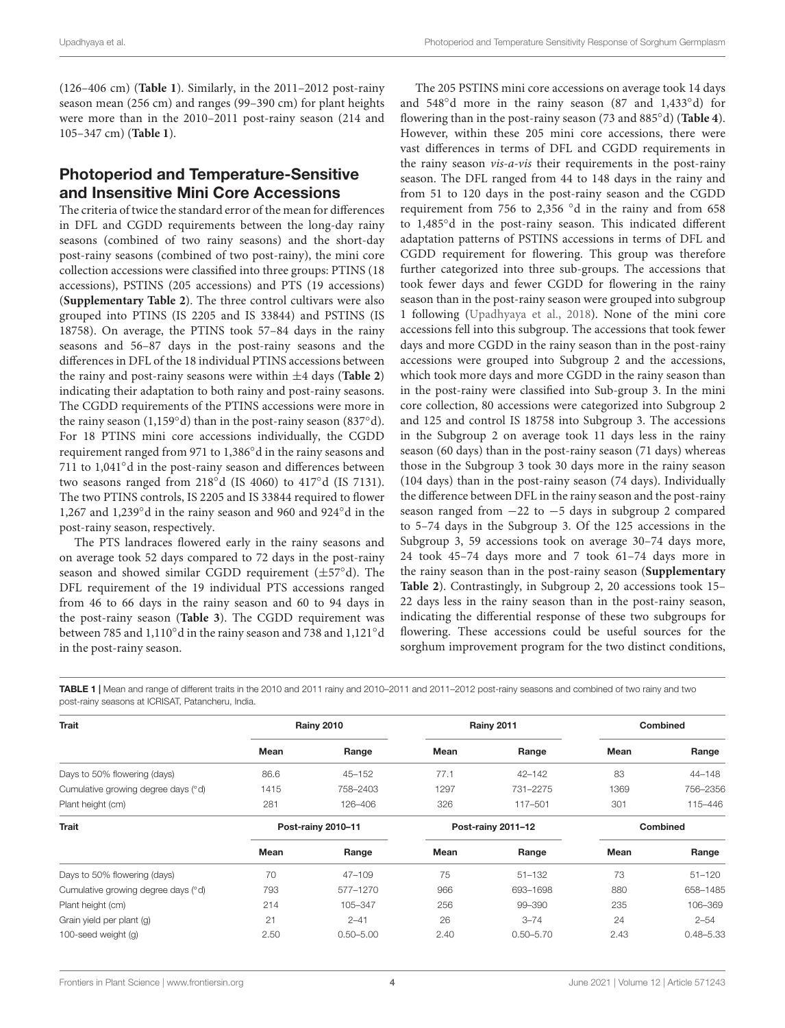(126–406 cm) (**[Table 1](#page-3-0)**). Similarly, in the 2011–2012 post-rainy season mean (256 cm) and ranges (99–390 cm) for plant heights were more than in the 2010–2011 post-rainy season (214 and 105–347 cm) (**[Table 1](#page-3-0)**).

### Photoperiod and Temperature-Sensitive and Insensitive Mini Core Accessions

The criteria of twice the standard error of the mean for differences in DFL and CGDD requirements between the long-day rainy seasons (combined of two rainy seasons) and the short-day post-rainy seasons (combined of two post-rainy), the mini core collection accessions were classified into three groups: PTINS (18 accessions), PSTINS (205 accessions) and PTS (19 accessions) (**[Supplementary Table 2](#page-13-18)**). The three control cultivars were also grouped into PTINS (IS 2205 and IS 33844) and PSTINS (IS 18758). On average, the PTINS took 57–84 days in the rainy seasons and 56–87 days in the post-rainy seasons and the differences in DFL of the 18 individual PTINS accessions between the rainy and post-rainy seasons were within ±4 days (**[Table 2](#page-4-0)**) indicating their adaptation to both rainy and post-rainy seasons. The CGDD requirements of the PTINS accessions were more in the rainy season (1,159◦d) than in the post-rainy season (837◦d). For 18 PTINS mini core accessions individually, the CGDD requirement ranged from 971 to 1,386◦d in the rainy seasons and 711 to 1,041◦d in the post-rainy season and differences between two seasons ranged from 218◦d (IS 4060) to 417◦d (IS 7131). The two PTINS controls, IS 2205 and IS 33844 required to flower 1,267 and 1,239◦d in the rainy season and 960 and 924◦d in the post-rainy season, respectively.

The PTS landraces flowered early in the rainy seasons and on average took 52 days compared to 72 days in the post-rainy season and showed similar CGDD requirement (±57◦d). The DFL requirement of the 19 individual PTS accessions ranged from 46 to 66 days in the rainy season and 60 to 94 days in the post-rainy season (**[Table 3](#page-5-0)**). The CGDD requirement was between 785 and 1,110◦d in the rainy season and 738 and 1,121◦d in the post-rainy season.

The 205 PSTINS mini core accessions on average took 14 days and 548◦d more in the rainy season (87 and 1,433◦d) for flowering than in the post-rainy season (73 and 885◦d) (**[Table 4](#page-6-0)**). However, within these 205 mini core accessions, there were vast differences in terms of DFL and CGDD requirements in the rainy season vis-a-vis their requirements in the post-rainy season. The DFL ranged from 44 to 148 days in the rainy and from 51 to 120 days in the post-rainy season and the CGDD requirement from 756 to 2,356 ◦d in the rainy and from 658 to 1,485◦d in the post-rainy season. This indicated different adaptation patterns of PSTINS accessions in terms of DFL and CGDD requirement for flowering. This group was therefore further categorized into three sub-groups. The accessions that took fewer days and fewer CGDD for flowering in the rainy season than in the post-rainy season were grouped into subgroup 1 following [\(Upadhyaya et al.,](#page-14-6) [2018\)](#page-14-6). None of the mini core accessions fell into this subgroup. The accessions that took fewer days and more CGDD in the rainy season than in the post-rainy accessions were grouped into Subgroup 2 and the accessions, which took more days and more CGDD in the rainy season than in the post-rainy were classified into Sub-group 3. In the mini core collection, 80 accessions were categorized into Subgroup 2 and 125 and control IS 18758 into Subgroup 3. The accessions in the Subgroup 2 on average took 11 days less in the rainy season (60 days) than in the post-rainy season (71 days) whereas those in the Subgroup 3 took 30 days more in the rainy season (104 days) than in the post-rainy season (74 days). Individually the difference between DFL in the rainy season and the post-rainy season ranged from −22 to −5 days in subgroup 2 compared to 5–74 days in the Subgroup 3. Of the 125 accessions in the Subgroup 3, 59 accessions took on average 30–74 days more, 24 took 45–74 days more and 7 took 61–74 days more in the rainy season than in the post-rainy season (**[Supplementary](#page-13-18) [Table 2](#page-13-18)**). Contrastingly, in Subgroup 2, 20 accessions took 15– 22 days less in the rainy season than in the post-rainy season, indicating the differential response of these two subgroups for flowering. These accessions could be useful sources for the sorghum improvement program for the two distinct conditions,

<span id="page-3-0"></span>TABLE 1 | Mean and range of different traits in the 2010 and 2011 rainy and 2010–2011 and 2011–2012 post-rainy seasons and combined of two rainy and two post-rainy seasons at ICRISAT, Patancheru, India.

| <b>Trait</b>                        |      | <b>Rainy 2010</b>  |      | <b>Rainy 2011</b>  |      | <b>Combined</b> |
|-------------------------------------|------|--------------------|------|--------------------|------|-----------------|
|                                     | Mean | Range              | Mean | Range              | Mean | Range           |
| Days to 50% flowering (days)        | 86.6 | $45 - 152$         | 77.1 | $42 - 142$         | 83   | 44-148          |
| Cumulative growing degree days (°d) | 1415 | 758-2403           | 1297 | 731-2275           | 1369 | 756-2356        |
| Plant height (cm)                   | 281  | 126-406            | 326  | 117-501            | 301  | 115-446         |
| <b>Trait</b>                        |      | Post-rainy 2010-11 |      | Post-rainy 2011-12 |      | <b>Combined</b> |
|                                     | Mean | Range              | Mean | Range              | Mean | Range           |
| Days to 50% flowering (days)        | 70   | $47 - 109$         | 75   | $51 - 132$         | 73   | $51 - 120$      |
| Cumulative growing degree days (°d) | 793  | 577-1270           | 966  | 693-1698           | 880  | 658-1485        |
| Plant height (cm)                   | 214  | 105-347            | 256  | 99-390             | 235  | 106-369         |
| Grain yield per plant (q)           | 21   | $2 - 41$           | 26   | $3 - 74$           | 24   | $2 - 54$        |
| 100-seed weight (g)                 | 2.50 | $0.50 - 5.00$      | 2.40 | $0.50 - 5.70$      | 2.43 | $0.48 - 5.33$   |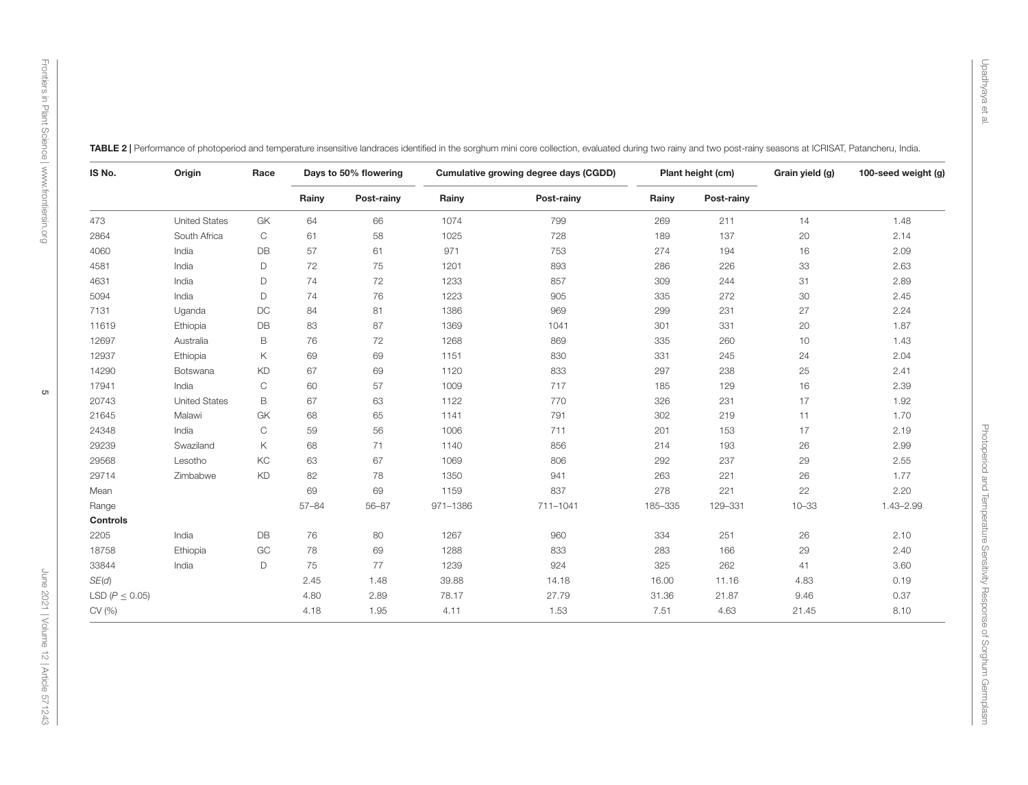| IS No.                | Origin               | Race         |           | Days to 50% flowering |          | Cumulative growing degree days (CGDD) |         | Plant height (cm) | Grain yield (g) | 100-seed weight (g) |
|-----------------------|----------------------|--------------|-----------|-----------------------|----------|---------------------------------------|---------|-------------------|-----------------|---------------------|
|                       |                      |              | Rainy     | Post-rainy            | Rainy    | Post-rainy                            | Rainy   | Post-rainy        |                 |                     |
| 473                   | <b>United States</b> | GK           | 64        | 66                    | 1074     | 799                                   | 269     | 211               | 14              | 1.48                |
| 2864                  | South Africa         | $\mathsf{C}$ | 61        | 58                    | 1025     | 728                                   | 189     | 137               | 20              | 2.14                |
| 4060                  | India                | DB           | 57        | 61                    | 971      | 753                                   | 274     | 194               | 16              | 2.09                |
| 4581                  | India                | D            | 72        | 75                    | 1201     | 893                                   | 286     | 226               | 33              | 2.63                |
| 4631                  | India                | D            | 74        | 72                    | 1233     | 857                                   | 309     | 244               | 31              | 2.89                |
| 5094                  | India                | D            | 74        | 76                    | 1223     | 905                                   | 335     | 272               | $30\,$          | 2.45                |
| 7131                  | Uganda               | <b>DC</b>    | 84        | 81                    | 1386     | 969                                   | 299     | 231               | $27\,$          | 2.24                |
| 11619                 | Ethiopia             | DB           | 83        | 87                    | 1369     | 1041                                  | 301     | 331               | 20              | 1.87                |
| 12697                 | Australia            | B            | 76        | 72                    | 1268     | 869                                   | 335     | 260               | 10              | 1.43                |
| 12937                 | Ethiopia             | Κ            | 69        | 69                    | 1151     | 830                                   | 331     | 245               | 24              | 2.04                |
| 14290                 | Botswana             | KD           | 67        | 69                    | 1120     | 833                                   | 297     | 238               | 25              | 2.41                |
| 17941                 | India                | $\mathbf C$  | 60        | 57                    | 1009     | 717                                   | 185     | 129               | 16              | 2.39                |
| 20743                 | <b>United States</b> | $\mathsf B$  | 67        | 63                    | 1122     | 770                                   | 326     | 231               | $17$            | 1.92                |
| 21645                 | Malawi               | GK           | 68        | 65                    | 1141     | 791                                   | 302     | 219               | 11              | 1.70                |
| 24348                 | India                | $\mathbf C$  | 59        | 56                    | 1006     | 711                                   | 201     | 153               | 17              | 2.19                |
| 29239                 | Swaziland            | Κ            | 68        | 71                    | 1140     | 856                                   | 214     | 193               | 26              | 2.99                |
| 29568                 | Lesotho              | KC           | 63        | 67                    | 1069     | 806                                   | 292     | 237               | 29              | 2.55                |
| 29714                 | Zimbabwe             | <b>KD</b>    | 82        | 78                    | 1350     | 941                                   | 263     | 221               | 26              | 1.77                |
| Mean                  |                      |              | 69        | 69                    | 1159     | 837                                   | 278     | 221               | $22\,$          | 2.20                |
| Range                 |                      |              | $57 - 84$ | $56 - 87$             | 971-1386 | 711-1041                              | 185-335 | 129-331           | $10 - 33$       | $1.43 - 2.99$       |
| Controls              |                      |              |           |                       |          |                                       |         |                   |                 |                     |
| 2205                  | India                | DB           | 76        | 80                    | 1267     | 960                                   | 334     | 251               | 26              | 2.10                |
| 18758                 | Ethiopia             | $\rm GC$     | 78        | 69                    | 1288     | 833                                   | 283     | 166               | 29              | 2.40                |
| 33844                 | India                | D            | 75        | 77                    | 1239     | 924                                   | 325     | 262               | 41              | 3.60                |
| SE(d)                 |                      |              | 2.45      | 1.48                  | 39.88    | 14.18                                 | 16.00   | 11.16             | 4.83            | 0.19                |
| LSD ( $P \leq 0.05$ ) |                      |              | 4.80      | 2.89                  | 78.17    | 27.79                                 | 31.36   | 21.87             | 9.46            | 0.37                |
| CV (%)                |                      |              | 4.18      | 1.95                  | 4.11     | 1.53                                  | 7.51    | 4.63              | 21.45           | 8.10                |

<span id="page-4-0"></span>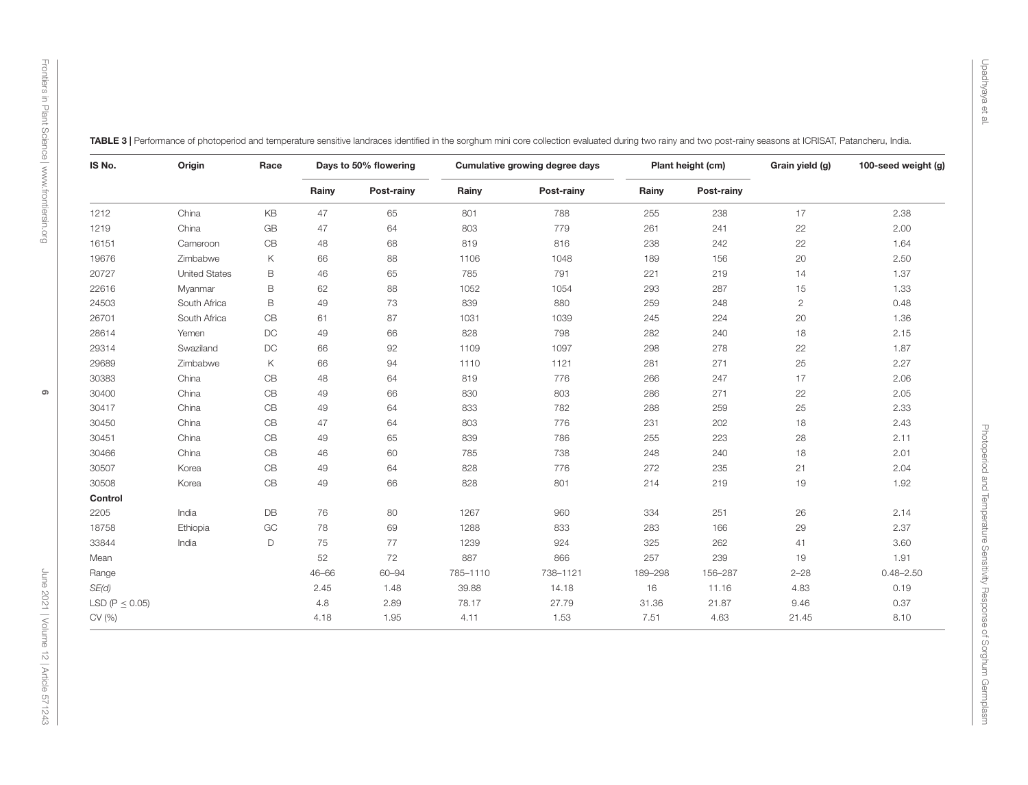<span id="page-5-0"></span>

| IS No.                | Origin               | Race          |       | Days to 50% flowering | Cumulative growing degree days |            | Plant height (cm) |            | Grain yield (g) | 100-seed weight (g) |
|-----------------------|----------------------|---------------|-------|-----------------------|--------------------------------|------------|-------------------|------------|-----------------|---------------------|
|                       |                      |               | Rainy | Post-rainy            | Rainy                          | Post-rainy | Rainy             | Post-rainy |                 |                     |
| 1212                  | China                | KB            | 47    | 65                    | 801                            | 788        | 255               | 238        | 17              | 2.38                |
| 1219                  | China                | GB            | 47    | 64                    | 803                            | 779        | 261               | 241        | 22              | 2.00                |
| 16151                 | Cameroon             | CB            | 48    | 68                    | 819                            | 816        | 238               | 242        | 22              | 1.64                |
| 19676                 | Zimbabwe             | Κ             | 66    | 88                    | 1106                           | 1048       | 189               | 156        | 20              | 2.50                |
| 20727                 | <b>United States</b> | B             | 46    | 65                    | 785                            | 791        | 221               | 219        | 14              | 1.37                |
| 22616                 | Myanmar              | B             | 62    | 88                    | 1052                           | 1054       | 293               | 287        | 15              | 1.33                |
| 24503                 | South Africa         | B             | 49    | 73                    | 839                            | 880        | 259               | 248        | $\overline{2}$  | 0.48                |
| 26701                 | South Africa         | CB            | 61    | 87                    | 1031                           | 1039       | 245               | 224        | 20              | 1.36                |
| 28614                 | Yemen                | DC            | 49    | 66                    | 828                            | 798        | 282               | 240        | 18              | 2.15                |
| 29314                 | Swaziland            | $\mathsf{DC}$ | 66    | 92                    | 1109                           | 1097       | 298               | 278        | 22              | 1.87                |
| 29689                 | Zimbabwe             | Κ             | 66    | 94                    | 1110                           | 1121       | 281               | 271        | 25              | 2.27                |
| 30383                 | China                | CB            | 48    | 64                    | 819                            | 776        | 266               | 247        | 17              | 2.06                |
| 30400                 | China                | CB            | 49    | 66                    | 830                            | 803        | 286               | 271        | 22              | 2.05                |
| 30417                 | China                | CB            | 49    | 64                    | 833                            | 782        | 288               | 259        | 25              | 2.33                |
| 30450                 | China                | CB            | 47    | 64                    | 803                            | 776        | 231               | 202        | 18              | 2.43                |
| 30451                 | China                | CB            | 49    | 65                    | 839                            | 786        | 255               | 223        | 28              | 2.11                |
| 30466                 | China                | CB            | 46    | 60                    | 785                            | 738        | 248               | 240        | 18              | 2.01                |
| 30507                 | Korea                | CB            | 49    | 64                    | 828                            | 776        | 272               | 235        | 21              | 2.04                |
| 30508                 | Korea                | CB            | 49    | 66                    | 828                            | 801        | 214               | 219        | 19              | 1.92                |
| Control               |                      |               |       |                       |                                |            |                   |            |                 |                     |
| 2205                  | India                | DB            | 76    | 80                    | 1267                           | 960        | 334               | 251        | 26              | 2.14                |
| 18758                 | Ethiopia             | GC            | 78    | 69                    | 1288                           | 833        | 283               | 166        | 29              | 2.37                |
| 33844                 | India                | D             | 75    | 77                    | 1239                           | 924        | 325               | 262        | 41              | 3.60                |
| Mean                  |                      |               | 52    | 72                    | 887                            | 866        | 257               | 239        | 19              | 1.91                |
| Range                 |                      |               | 46-66 | 60-94                 | 785-1110                       | 738-1121   | 189-298           | 156-287    | $2 - 28$        | $0.48 - 2.50$       |
| SE(d)                 |                      |               | 2.45  | 1.48                  | 39.88                          | 14.18      | 16                | 11.16      | 4.83            | 0.19                |
| LSD ( $P \leq 0.05$ ) |                      |               | 4.8   | 2.89                  | 78.17                          | 27.79      | 31.36             | 21.87      | 9.46            | 0.37                |
| CV (%)                |                      |               | 4.18  | 1.95                  | 4.11                           | 1.53       | 7.51              | 4.63       | 21.45           | 8.10                |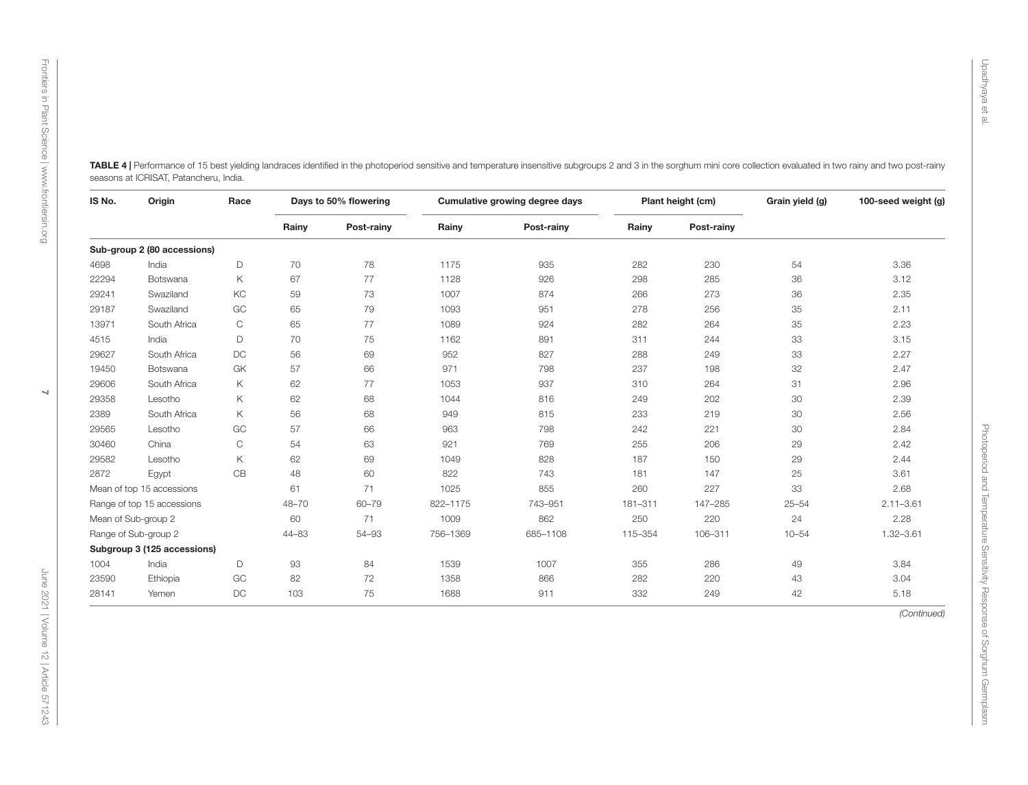| IS No.<br>Origin |                             |                     | Race      |            | Days to 50% flowering |            | Cumulative growing degree days |            | Plant height (cm) | Grain yield (g) | 100-seed weight (g) |
|------------------|-----------------------------|---------------------|-----------|------------|-----------------------|------------|--------------------------------|------------|-------------------|-----------------|---------------------|
|                  |                             |                     | Rainy     | Post-rainy | Rainy                 | Post-rainy | Rainy                          | Post-rainy |                   |                 |                     |
|                  | Sub-group 2 (80 accessions) |                     |           |            |                       |            |                                |            |                   |                 |                     |
| 4698             | India                       | D                   | 70        | 78         | 1175                  | 935        | 282                            | 230        | 54                | 3.36            |                     |
| 22294            | Botswana                    | Κ                   | 67        | $77$       | 1128                  | 926        | 298                            | 285        | 36                | 3.12            |                     |
| 29241            | Swaziland                   | KC                  | 59        | 73         | 1007                  | 874        | 266                            | 273        | 36                | 2.35            |                     |
| 29187            | Swaziland                   | GC                  | 65        | 79         | 1093                  | 951        | 278                            | 256        | 35                | 2.11            |                     |
| 13971            | South Africa                | $\mathsf C$         | 65        | 77         | 1089                  | 924        | 282                            | 264        | 35                | 2.23            |                     |
| 4515             | India                       | D                   | 70        | 75         | 1162                  | 891        | 311                            | 244        | 33                | 3.15            |                     |
| 29627            | South Africa                | $\mathsf{DC}$       | 56        | 69         | 952                   | 827        | 288                            | 249        | 33                | 2.27            |                     |
| 19450            | Botswana                    | GK                  | 57        | 66         | 971                   | 798        | 237                            | 198        | 32                | 2.47            |                     |
| 29606            | South Africa                | Κ                   | 62        | 77         | 1053                  | 937        | 310                            | 264        | 31                | 2.96            |                     |
| 29358            | Lesotho                     | Κ                   | 62        | 68         | 1044                  | 816        | 249                            | 202        | 30                | 2.39            |                     |
| 2389             | South Africa                | Κ                   | 56        | 68         | 949                   | 815        | 233                            | 219        | 30                | 2.56            |                     |
| 29565            | Lesotho                     | GC                  | 57        | 66         | 963                   | 798        | 242                            | 221        | 30                | 2.84            |                     |
| 30460            | China                       | $\mathsf{C}$        | 54        | 63         | 921                   | 769        | 255                            | 206        | 29                | 2.42            |                     |
| 29582            | Lesotho                     | Κ                   | 62        | 69         | 1049                  | 828        | 187                            | 150        | 29                | 2.44            |                     |
| 2872             | Egypt                       | CB                  | 48        | 60         | 822                   | 743        | 181                            | 147        | 25                | 3.61            |                     |
|                  | Mean of top 15 accessions   |                     | 61        | 71         | 1025                  | 855        | 260                            | 227        | 33                | 2.68            |                     |
|                  | Range of top 15 accessions  |                     | 48-70     | 60-79      | 822-1175              | 743-951    | 181-311                        | 147-285    | $25 - 54$         | $2.11 - 3.61$   |                     |
|                  | Mean of Sub-group 2         |                     | 60        | 71         | 1009                  | 862        | 250                            | 220        | 24                | 2.28            |                     |
|                  | Range of Sub-group 2        |                     | $44 - 83$ | 54-93      | 756-1369              | 685-1108   | 115-354                        | 106-311    | $10 - 54$         | $1.32 - 3.61$   |                     |
|                  | Subgroup 3 (125 accessions) |                     |           |            |                       |            |                                |            |                   |                 |                     |
| 1004             | India                       | $\mathsf D$         | 93        | 84         | 1539                  | 1007       | 355                            | 286        | 49                | 3.84            |                     |
| 23590            | Ethiopia                    | $\operatorname{GC}$ | 82        | 72         | 1358                  | 866        | 282                            | 220        | 43                | 3.04            |                     |
| 28141            | Yemen                       | $\mathop{\rm DC}$   | 103       | 75         | 1688                  | 911        | 332                            | 249        | 42                | 5.18            |                     |
|                  |                             |                     |           |            |                       |            |                                |            |                   | (Continued)     |                     |

<span id="page-6-0"></span>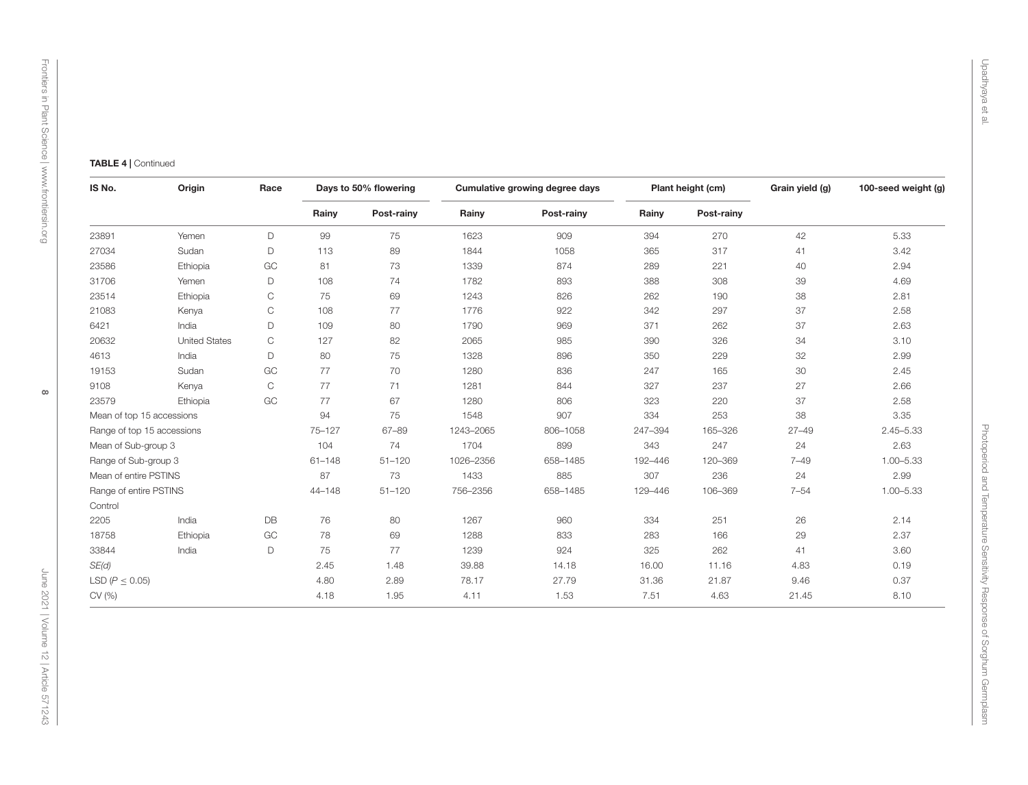# [Frontiers in Plant Science](https://www.frontiersin.org/journals/plant-science) Frontiers in Plant Science | www.frontiersin.org [www.frontiersin.org](https://www.frontiersin.org/)

| IS No.                     | Origin               | Race                      |            | Days to 50% flowering |            | Cumulative growing degree days |            | Plant height (cm) | Grain yield (g) | 100-seed weight (g) |
|----------------------------|----------------------|---------------------------|------------|-----------------------|------------|--------------------------------|------------|-------------------|-----------------|---------------------|
|                            |                      | Rainy                     | Post-rainy | Rainy                 | Post-rainy | Rainy                          | Post-rainy |                   |                 |                     |
| 23891                      | Yemen                | D                         | 99         | 75                    | 1623       | 909                            | 394        | 270               | 42              | 5.33                |
| 27034                      | Sudan                | D                         | 113        | 89                    | 1844       | 1058                           | 365        | 317               | 41              | 3.42                |
| 23586                      | Ethiopia             | $\operatorname{GC}$       | 81         | 73                    | 1339       | 874                            | 289        | 221               | 40              | 2.94                |
| 31706                      | Yemen                | D                         | 108        | 74                    | 1782       | 893                            | 388        | 308               | 39              | 4.69                |
| 23514                      | Ethiopia             | $\mathsf C$               | 75         | 69                    | 1243       | 826                            | 262        | 190               | 38              | 2.81                |
| 21083                      | Kenya                | $\mathop{\rm C}\nolimits$ | 108        | 77                    | 1776       | 922                            | 342        | 297               | 37              | 2.58                |
| 6421                       | India                | $\mathsf D$               | 109        | 80                    | 1790       | 969                            | 371        | 262               | 37              | 2.63                |
| 20632                      | <b>United States</b> | $\mathbf C$               | 127        | 82                    | 2065       | 985                            | 390        | 326               | 34              | 3.10                |
| 4613                       | India                | $\mathsf D$               | 80         | $75\,$                | 1328       | 896                            | 350        | 229               | 32              | 2.99                |
| 19153                      | Sudan                | GC                        | 77         | $70\,$                | 1280       | 836                            | 247        | 165               | 30              | 2.45                |
| 9108                       | Kenya                | $\mathop{\rm C}\nolimits$ | 77         | 71                    | 1281       | 844                            | 327        | 237               | 27              | 2.66                |
| 23579                      | Ethiopia             | GC                        | 77         | 67                    | 1280       | 806                            | 323        | 220               | 37              | 2.58                |
| Mean of top 15 accessions  |                      |                           | 94         | 75                    | 1548       | 907                            | 334        | 253               | 38              | 3.35                |
| Range of top 15 accessions |                      |                           | $75 - 127$ | $67 - 89$             | 1243-2065  | 806-1058                       | 247-394    | 165-326           | $27 - 49$       | $2.45 - 5.33$       |
| Mean of Sub-group 3        |                      |                           | 104        | 74                    | 1704       | 899                            | 343        | 247               | 24              | 2.63                |
| Range of Sub-group 3       |                      |                           | $61 - 148$ | $51 - 120$            | 1026-2356  | 658-1485                       | 192-446    | 120-369           | $7 - 49$        | $1.00 - 5.33$       |
| Mean of entire PSTINS      |                      |                           | 87         | 73                    | 1433       | 885                            | 307        | 236               | 24              | 2.99                |
| Range of entire PSTINS     |                      |                           | $44 - 148$ | $51 - 120$            | 756-2356   | 658-1485                       | 129-446    | 106-369           | $7 - 54$        | $1.00 - 5.33$       |
| Control                    |                      |                           |            |                       |            |                                |            |                   |                 |                     |
| 2205                       | India                | $\mathsf{DB}$             | 76         | 80                    | 1267       | 960                            | 334        | 251               | 26              | 2.14                |
| 18758                      | Ethiopia             | GC                        | 78         | 69                    | 1288       | 833                            | 283        | 166               | 29              | 2.37                |
| 33844                      | India                | D                         | 75         | 77                    | 1239       | 924                            | 325        | 262               | 41              | 3.60                |
| SE(d)                      |                      |                           | 2.45       | 1.48                  | 39.88      | 14.18                          | 16.00      | 11.16             | 4.83            | 0.19                |
| LSD ( $P \leq 0.05$ )      |                      |                           | 4.80       | 2.89                  | 78.17      | 27.79                          | 31.36      | 21.87             | 9.46            | 0.37                |
| CV (%)                     |                      |                           | 4.18       | 1.95                  | 4.11       | 1.53                           | 7.51       | 4.63              | 21.45           | 8.10                |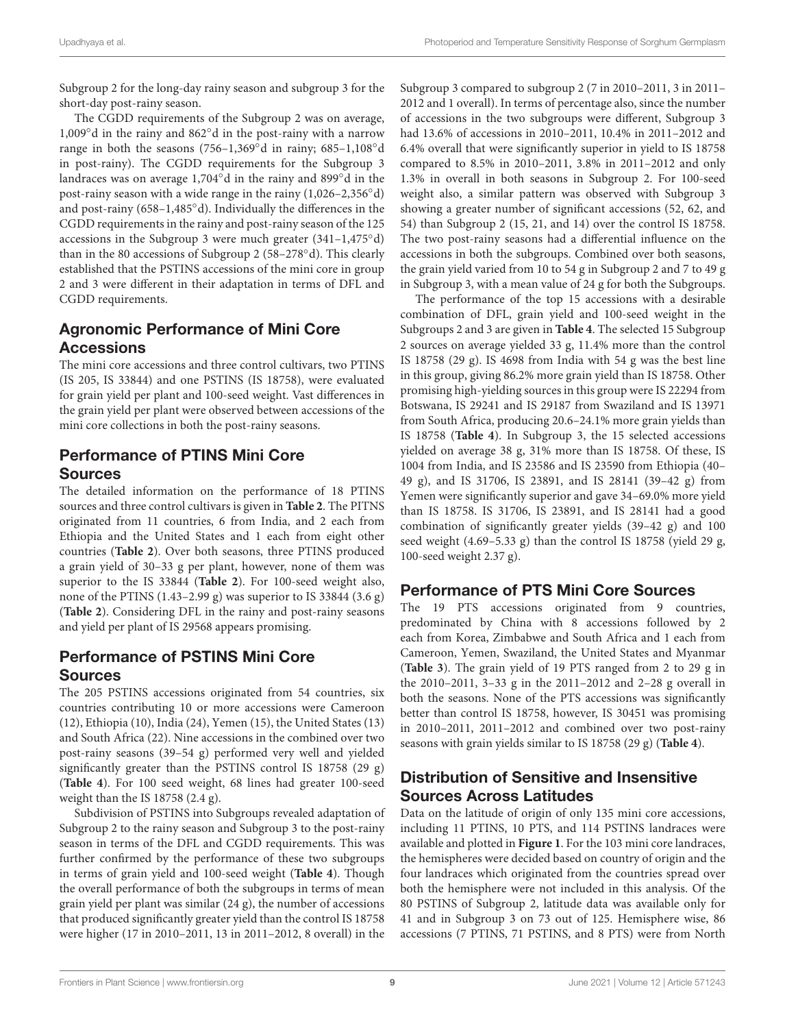Subgroup 2 for the long-day rainy season and subgroup 3 for the short-day post-rainy season.

The CGDD requirements of the Subgroup 2 was on average, 1,009◦d in the rainy and 862◦d in the post-rainy with a narrow range in both the seasons (756–1,369◦d in rainy; 685–1,108◦d in post-rainy). The CGDD requirements for the Subgroup 3 landraces was on average 1,704◦d in the rainy and 899◦d in the post-rainy season with a wide range in the rainy (1,026–2,356◦d) and post-rainy (658–1,485◦d). Individually the differences in the CGDD requirements in the rainy and post-rainy season of the 125 accessions in the Subgroup 3 were much greater (341–1,475◦d) than in the 80 accessions of Subgroup 2 (58–278◦d). This clearly established that the PSTINS accessions of the mini core in group 2 and 3 were different in their adaptation in terms of DFL and CGDD requirements.

### Agronomic Performance of Mini Core Accessions

The mini core accessions and three control cultivars, two PTINS (IS 205, IS 33844) and one PSTINS (IS 18758), were evaluated for grain yield per plant and 100-seed weight. Vast differences in the grain yield per plant were observed between accessions of the mini core collections in both the post-rainy seasons.

### Performance of PTINS Mini Core Sources

The detailed information on the performance of 18 PTINS sources and three control cultivars is given in **[Table 2](#page-4-0)**. The PITNS originated from 11 countries, 6 from India, and 2 each from Ethiopia and the United States and 1 each from eight other countries (**[Table 2](#page-4-0)**). Over both seasons, three PTINS produced a grain yield of 30–33 g per plant, however, none of them was superior to the IS 33844 (**[Table 2](#page-4-0)**). For 100-seed weight also, none of the PTINS (1.43–2.99 g) was superior to IS 33844 (3.6 g) (**[Table 2](#page-4-0)**). Considering DFL in the rainy and post-rainy seasons and yield per plant of IS 29568 appears promising.

### Performance of PSTINS Mini Core Sources

The 205 PSTINS accessions originated from 54 countries, six countries contributing 10 or more accessions were Cameroon (12), Ethiopia (10), India (24), Yemen (15), the United States (13) and South Africa (22). Nine accessions in the combined over two post-rainy seasons (39–54 g) performed very well and yielded significantly greater than the PSTINS control IS 18758 (29 g) (**[Table 4](#page-6-0)**). For 100 seed weight, 68 lines had greater 100-seed weight than the IS 18758 (2.4 g).

Subdivision of PSTINS into Subgroups revealed adaptation of Subgroup 2 to the rainy season and Subgroup 3 to the post-rainy season in terms of the DFL and CGDD requirements. This was further confirmed by the performance of these two subgroups in terms of grain yield and 100-seed weight (**[Table 4](#page-6-0)**). Though the overall performance of both the subgroups in terms of mean grain yield per plant was similar (24 g), the number of accessions that produced significantly greater yield than the control IS 18758 were higher (17 in 2010–2011, 13 in 2011–2012, 8 overall) in the

Subgroup 3 compared to subgroup 2 (7 in 2010–2011, 3 in 2011– 2012 and 1 overall). In terms of percentage also, since the number of accessions in the two subgroups were different, Subgroup 3 had 13.6% of accessions in 2010–2011, 10.4% in 2011–2012 and 6.4% overall that were significantly superior in yield to IS 18758 compared to 8.5% in 2010–2011, 3.8% in 2011–2012 and only 1.3% in overall in both seasons in Subgroup 2. For 100-seed weight also, a similar pattern was observed with Subgroup 3 showing a greater number of significant accessions (52, 62, and 54) than Subgroup 2 (15, 21, and 14) over the control IS 18758. The two post-rainy seasons had a differential influence on the accessions in both the subgroups. Combined over both seasons, the grain yield varied from 10 to 54 g in Subgroup 2 and 7 to 49 g in Subgroup 3, with a mean value of 24 g for both the Subgroups.

The performance of the top 15 accessions with a desirable combination of DFL, grain yield and 100-seed weight in the Subgroups 2 and 3 are given in **[Table 4](#page-6-0)**. The selected 15 Subgroup 2 sources on average yielded 33 g, 11.4% more than the control IS 18758 (29 g). IS 4698 from India with 54 g was the best line in this group, giving 86.2% more grain yield than IS 18758. Other promising high-yielding sources in this group were IS 22294 from Botswana, IS 29241 and IS 29187 from Swaziland and IS 13971 from South Africa, producing 20.6–24.1% more grain yields than IS 18758 (**[Table 4](#page-6-0)**). In Subgroup 3, the 15 selected accessions yielded on average 38 g, 31% more than IS 18758. Of these, IS 1004 from India, and IS 23586 and IS 23590 from Ethiopia (40– 49 g), and IS 31706, IS 23891, and IS 28141 (39–42 g) from Yemen were significantly superior and gave 34–69.0% more yield than IS 18758. IS 31706, IS 23891, and IS 28141 had a good combination of significantly greater yields (39–42 g) and 100 seed weight (4.69–5.33 g) than the control IS 18758 (yield 29 g, 100-seed weight 2.37 g).

### Performance of PTS Mini Core Sources

The 19 PTS accessions originated from 9 countries, predominated by China with 8 accessions followed by 2 each from Korea, Zimbabwe and South Africa and 1 each from Cameroon, Yemen, Swaziland, the United States and Myanmar (**[Table 3](#page-5-0)**). The grain yield of 19 PTS ranged from 2 to 29 g in the 2010–2011, 3–33 g in the 2011–2012 and 2–28 g overall in both the seasons. None of the PTS accessions was significantly better than control IS 18758, however, IS 30451 was promising in 2010–2011, 2011–2012 and combined over two post-rainy seasons with grain yields similar to IS 18758 (29 g) (**[Table 4](#page-6-0)**).

### Distribution of Sensitive and Insensitive Sources Across Latitudes

Data on the latitude of origin of only 135 mini core accessions, including 11 PTINS, 10 PTS, and 114 PSTINS landraces were available and plotted in **[Figure 1](#page-9-0)**. For the 103 mini core landraces, the hemispheres were decided based on country of origin and the four landraces which originated from the countries spread over both the hemisphere were not included in this analysis. Of the 80 PSTINS of Subgroup 2, latitude data was available only for 41 and in Subgroup 3 on 73 out of 125. Hemisphere wise, 86 accessions (7 PTINS, 71 PSTINS, and 8 PTS) were from North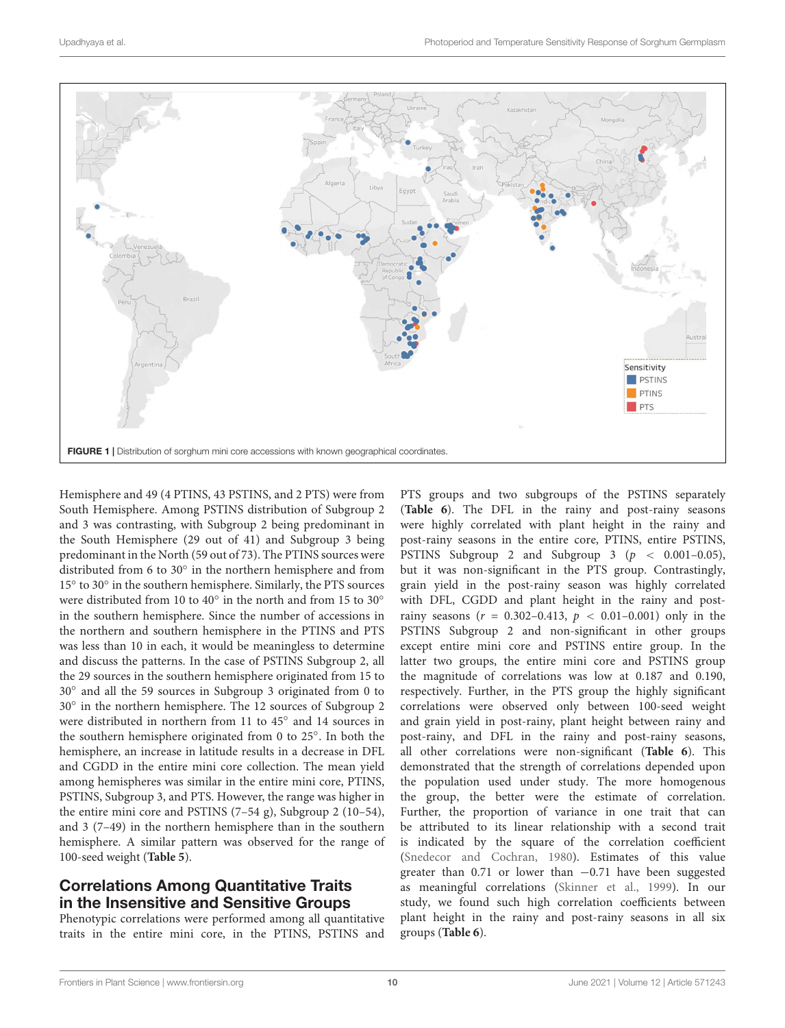

<span id="page-9-0"></span>Hemisphere and 49 (4 PTINS, 43 PSTINS, and 2 PTS) were from South Hemisphere. Among PSTINS distribution of Subgroup 2 and 3 was contrasting, with Subgroup 2 being predominant in the South Hemisphere (29 out of 41) and Subgroup 3 being predominant in the North (59 out of 73). The PTINS sources were distributed from 6 to 30◦ in the northern hemisphere and from 15° to 30° in the southern hemisphere. Similarly, the PTS sources were distributed from 10 to 40 $\degree$  in the north and from 15 to 30 $\degree$ in the southern hemisphere. Since the number of accessions in the northern and southern hemisphere in the PTINS and PTS was less than 10 in each, it would be meaningless to determine and discuss the patterns. In the case of PSTINS Subgroup 2, all the 29 sources in the southern hemisphere originated from 15 to 30◦ and all the 59 sources in Subgroup 3 originated from 0 to 30◦ in the northern hemisphere. The 12 sources of Subgroup 2 were distributed in northern from 11 to 45° and 14 sources in the southern hemisphere originated from 0 to 25◦ . In both the hemisphere, an increase in latitude results in a decrease in DFL and CGDD in the entire mini core collection. The mean yield among hemispheres was similar in the entire mini core, PTINS, PSTINS, Subgroup 3, and PTS. However, the range was higher in the entire mini core and PSTINS (7–54 g), Subgroup 2 (10–54), and 3 (7–49) in the northern hemisphere than in the southern hemisphere. A similar pattern was observed for the range of 100-seed weight (**[Table 5](#page-10-0)**).

### Correlations Among Quantitative Traits in the Insensitive and Sensitive Groups

Phenotypic correlations were performed among all quantitative traits in the entire mini core, in the PTINS, PSTINS and

PTS groups and two subgroups of the PSTINS separately (**[Table 6](#page-11-0)**). The DFL in the rainy and post-rainy seasons were highly correlated with plant height in the rainy and post-rainy seasons in the entire core, PTINS, entire PSTINS, PSTINS Subgroup 2 and Subgroup 3 ( $p < 0.001-0.05$ ), but it was non-significant in the PTS group. Contrastingly, grain yield in the post-rainy season was highly correlated with DFL, CGDD and plant height in the rainy and postrainy seasons ( $r = 0.302 - 0.413$ ,  $p < 0.01 - 0.001$ ) only in the PSTINS Subgroup 2 and non-significant in other groups except entire mini core and PSTINS entire group. In the latter two groups, the entire mini core and PSTINS group the magnitude of correlations was low at 0.187 and 0.190, respectively. Further, in the PTS group the highly significant correlations were observed only between 100-seed weight and grain yield in post-rainy, plant height between rainy and post-rainy, and DFL in the rainy and post-rainy seasons, all other correlations were non-significant (**[Table 6](#page-11-0)**). This demonstrated that the strength of correlations depended upon the population used under study. The more homogenous the group, the better were the estimate of correlation. Further, the proportion of variance in one trait that can be attributed to its linear relationship with a second trait is indicated by the square of the correlation coefficient [\(Snedecor and Cochran,](#page-13-19) [1980\)](#page-13-19). Estimates of this value greater than 0.71 or lower than −0.71 have been suggested as meaningful correlations [\(Skinner et al.,](#page-13-20) [1999\)](#page-13-20). In our study, we found such high correlation coefficients between plant height in the rainy and post-rainy seasons in all six groups (**[Table 6](#page-11-0)**).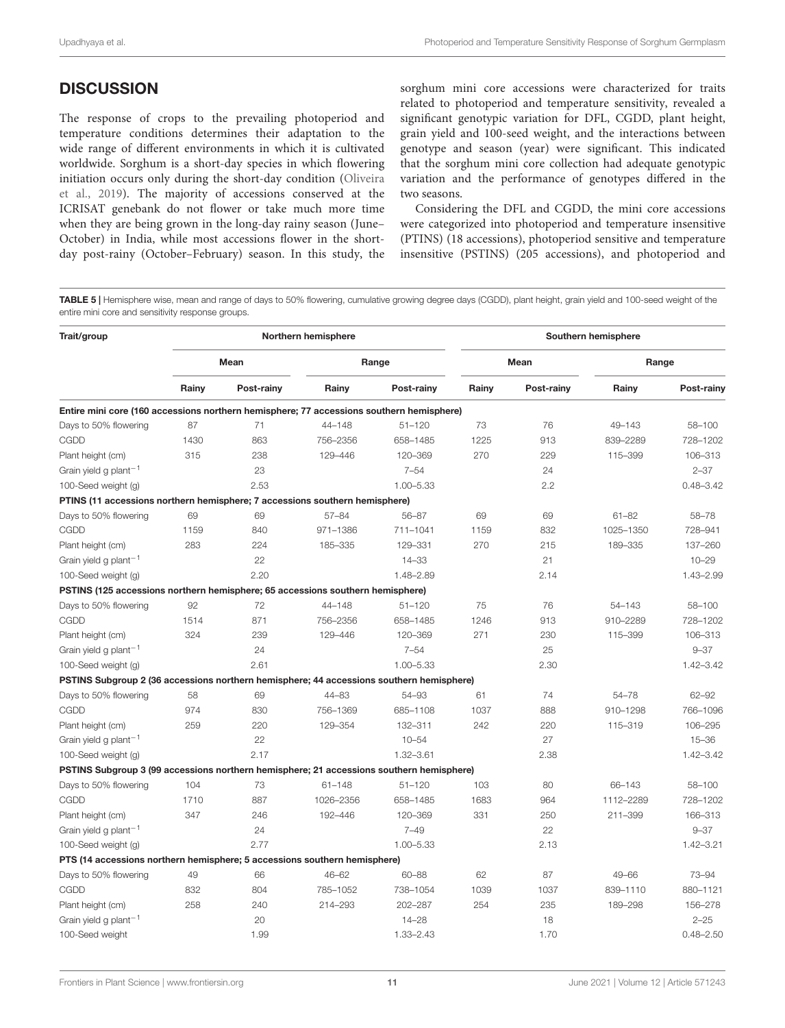### **DISCUSSION**

The response of crops to the prevailing photoperiod and temperature conditions determines their adaptation to the wide range of different environments in which it is cultivated worldwide. Sorghum is a short-day species in which flowering initiation occurs only during the short-day condition [\(Oliveira](#page-13-21) [et al.,](#page-13-21) [2019\)](#page-13-21). The majority of accessions conserved at the ICRISAT genebank do not flower or take much more time when they are being grown in the long-day rainy season (June– October) in India, while most accessions flower in the shortday post-rainy (October–February) season. In this study, the

sorghum mini core accessions were characterized for traits related to photoperiod and temperature sensitivity, revealed a significant genotypic variation for DFL, CGDD, plant height, grain yield and 100-seed weight, and the interactions between genotype and season (year) were significant. This indicated that the sorghum mini core collection had adequate genotypic variation and the performance of genotypes differed in the two seasons.

Considering the DFL and CGDD, the mini core accessions were categorized into photoperiod and temperature insensitive (PTINS) (18 accessions), photoperiod sensitive and temperature insensitive (PSTINS) (205 accessions), and photoperiod and

<span id="page-10-0"></span>TABLE 5 | Hemisphere wise, mean and range of days to 50% flowering, cumulative growing degree days (CGDD), plant height, grain yield and 100-seed weight of the entire mini core and sensitivity response groups.

| Trait/group                                                                              |       |            | Northern hemisphere |               | Southern hemisphere |            |             |               |  |  |
|------------------------------------------------------------------------------------------|-------|------------|---------------------|---------------|---------------------|------------|-------------|---------------|--|--|
|                                                                                          |       | Mean       |                     | Range         |                     | Mean       | Range       |               |  |  |
|                                                                                          | Rainy | Post-rainy | Rainy               | Post-rainy    | Rainy               | Post-rainy | Rainy       | Post-rainy    |  |  |
| Entire mini core (160 accessions northern hemisphere; 77 accessions southern hemisphere) |       |            |                     |               |                     |            |             |               |  |  |
| Days to 50% flowering                                                                    | 87    | 71         | $44 - 148$          | $51 - 120$    | 73                  | 76         | 49-143      | 58-100        |  |  |
| CGDD                                                                                     | 1430  | 863        | 756-2356            | 658-1485      | 1225                | 913        | 839-2289    | 728-1202      |  |  |
| Plant height (cm)                                                                        | 315   | 238        | 129-446             | 120-369       | 270                 | 229        | 115-399     | 106-313       |  |  |
| Grain yield g plant <sup>-1</sup>                                                        |       | 23         |                     | $7 - 54$      |                     | 24         |             | $2 - 37$      |  |  |
| 100-Seed weight (g)                                                                      |       | 2.53       |                     | $1.00 - 5.33$ |                     | 2.2        |             | $0.48 - 3.42$ |  |  |
| PTINS (11 accessions northern hemisphere; 7 accessions southern hemisphere)              |       |            |                     |               |                     |            |             |               |  |  |
| Days to 50% flowering                                                                    | 69    | 69         | $57 - 84$           | $56 - 87$     | 69                  | 69         | $61 - 82$   | $58 - 78$     |  |  |
| CGDD                                                                                     | 1159  | 840        | 971-1386            | 711-1041      | 1159                | 832        | 1025-1350   | 728-941       |  |  |
| Plant height (cm)                                                                        | 283   | 224        | 185-335             | 129-331       | 270                 | 215        | 189-335     | 137-260       |  |  |
| Grain yield g plant <sup>-1</sup>                                                        |       | 22         |                     | $14 - 33$     |                     | 21         |             | $10 - 29$     |  |  |
| 100-Seed weight (g)                                                                      |       | 2.20       |                     | 1.48-2.89     |                     | 2.14       |             | 1.43-2.99     |  |  |
| PSTINS (125 accessions northern hemisphere; 65 accessions southern hemisphere)           |       |            |                     |               |                     |            |             |               |  |  |
| Days to 50% flowering                                                                    | 92    | 72         | $44 - 148$          | $51 - 120$    | 75                  | 76         | $54 - 143$  | 58-100        |  |  |
| CGDD                                                                                     | 1514  | 871        | 756-2356            | 658-1485      | 1246                | 913        | 910-2289    | 728-1202      |  |  |
| Plant height (cm)                                                                        | 324   | 239        | 129-446             | 120-369       | 271                 | 230        | 115-399     | 106-313       |  |  |
| Grain yield g plant <sup>-1</sup>                                                        |       | 24         |                     | $7 - 54$      |                     | 25         |             | $9 - 37$      |  |  |
| 100-Seed weight (g)                                                                      |       | 2.61       |                     | $1.00 - 5.33$ |                     | 2.30       |             | $1.42 - 3.42$ |  |  |
| PSTINS Subgroup 2 (36 accessions northern hemisphere; 44 accessions southern hemisphere) |       |            |                     |               |                     |            |             |               |  |  |
| Days to 50% flowering                                                                    | 58    | 69         | $44 - 83$           | 54-93         | 61                  | 74         | 54-78       | $62 - 92$     |  |  |
| CGDD                                                                                     | 974   | 830        | 756-1369            | 685-1108      | 1037                | 888        | 910-1298    | 766-1096      |  |  |
| Plant height (cm)                                                                        | 259   | 220        | 129-354             | 132-311       | 242                 | 220        | 115-319     | 106-295       |  |  |
| Grain yield g plant <sup>-1</sup>                                                        |       | 22         |                     | $10 - 54$     |                     | 27         |             | $15 - 36$     |  |  |
| 100-Seed weight (g)                                                                      |       | 2.17       |                     | $1.32 - 3.61$ |                     | 2.38       |             | $1.42 - 3.42$ |  |  |
| PSTINS Subgroup 3 (99 accessions northern hemisphere; 21 accessions southern hemisphere) |       |            |                     |               |                     |            |             |               |  |  |
| Days to 50% flowering                                                                    | 104   | 73         | $61 - 148$          | $51 - 120$    | 103                 | 80         | 66-143      | 58-100        |  |  |
| CGDD                                                                                     | 1710  | 887        | 1026-2356           | 658-1485      | 1683                | 964        | 1112-2289   | 728-1202      |  |  |
| Plant height (cm)                                                                        | 347   | 246        | 192-446             | 120-369       | 331                 | 250        | $211 - 399$ | 166-313       |  |  |
| Grain yield g plant <sup>-1</sup>                                                        |       | 24         |                     | $7 - 49$      |                     | 22         |             | $9 - 37$      |  |  |
| 100-Seed weight (g)                                                                      |       | 2.77       |                     | $1.00 - 5.33$ |                     | 2.13       |             | $1.42 - 3.21$ |  |  |
| PTS (14 accessions northern hemisphere; 5 accessions southern hemisphere)                |       |            |                     |               |                     |            |             |               |  |  |
| Days to 50% flowering                                                                    | 49    | 66         | $46 - 62$           | $60 - 88$     | 62                  | 87         | $49 - 66$   | 73-94         |  |  |
| CGDD                                                                                     | 832   | 804        | 785-1052            | 738-1054      | 1039                | 1037       | 839-1110    | 880-1121      |  |  |
| Plant height (cm)                                                                        | 258   | 240        | 214-293             | 202-287       | 254                 | 235        | 189-298     | 156-278       |  |  |
| Grain yield g plant <sup>-1</sup>                                                        |       | 20         |                     | $14 - 28$     |                     | 18         |             | $2 - 25$      |  |  |
| 100-Seed weight                                                                          |       | 1.99       |                     | $1.33 - 2.43$ |                     | 1.70       |             | $0.48 - 2.50$ |  |  |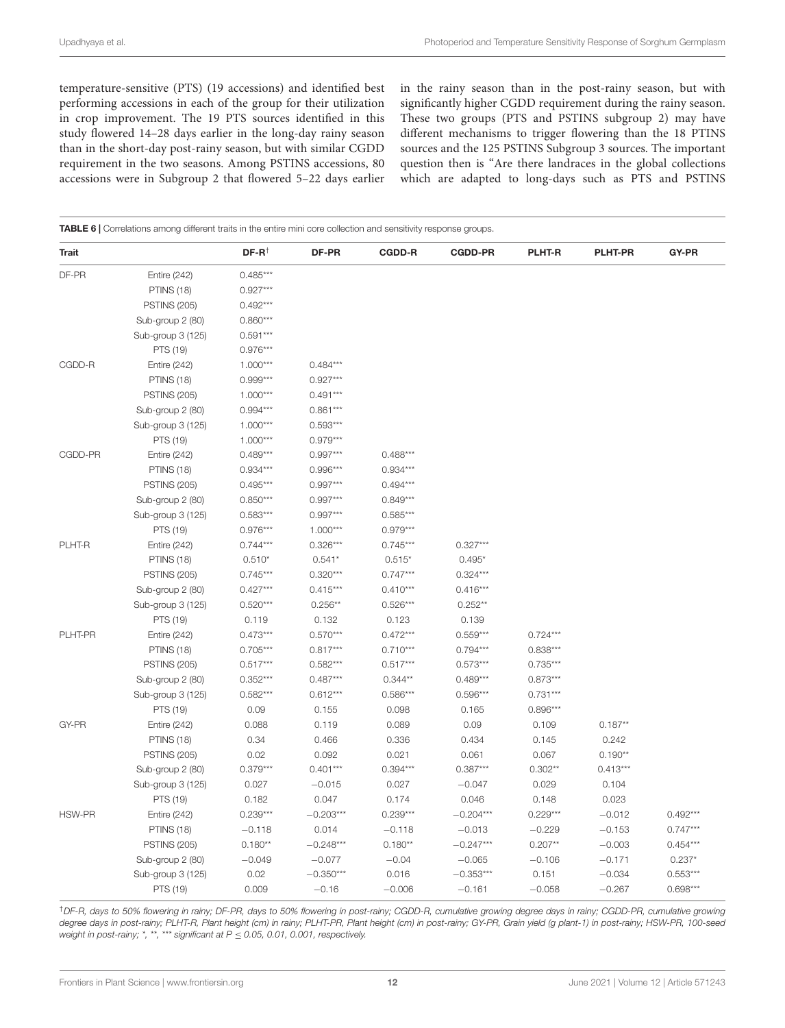temperature-sensitive (PTS) (19 accessions) and identified best performing accessions in each of the group for their utilization in crop improvement. The 19 PTS sources identified in this study flowered 14–28 days earlier in the long-day rainy season than in the short-day post-rainy season, but with similar CGDD requirement in the two seasons. Among PSTINS accessions, 80 accessions were in Subgroup 2 that flowered 5–22 days earlier in the rainy season than in the post-rainy season, but with significantly higher CGDD requirement during the rainy season. These two groups (PTS and PSTINS subgroup 2) may have different mechanisms to trigger flowering than the 18 PTINS sources and the 125 PSTINS Subgroup 3 sources. The important question then is "Are there landraces in the global collections which are adapted to long-days such as PTS and PSTINS

<span id="page-11-0"></span>

| Trait   |                     | $DF-R^{\dagger}$ | DF-PR       | <b>CGDD-R</b> | <b>CGDD-PR</b> | <b>PLHT-R</b> | <b>PLHT-PR</b> | GY-PR      |
|---------|---------------------|------------------|-------------|---------------|----------------|---------------|----------------|------------|
| DF-PR   | <b>Entire (242)</b> | $0.485***$       |             |               |                |               |                |            |
|         | <b>PTINS (18)</b>   | $0.927***$       |             |               |                |               |                |            |
|         | <b>PSTINS (205)</b> | $0.492***$       |             |               |                |               |                |            |
|         | Sub-group 2 (80)    | $0.860***$       |             |               |                |               |                |            |
|         | Sub-group 3 (125)   | $0.591***$       |             |               |                |               |                |            |
|         | PTS (19)            | $0.976***$       |             |               |                |               |                |            |
| CGDD-R  | Entire (242)        | $1.000***$       | $0.484***$  |               |                |               |                |            |
|         | <b>PTINS (18)</b>   | $0.999***$       | $0.927***$  |               |                |               |                |            |
|         | <b>PSTINS (205)</b> | $1.000***$       | $0.491***$  |               |                |               |                |            |
|         | Sub-group 2 (80)    | $0.994***$       | $0.861***$  |               |                |               |                |            |
|         | Sub-group 3 (125)   | $1.000***$       | $0.593***$  |               |                |               |                |            |
|         | PTS (19)            | $1.000***$       | $0.979***$  |               |                |               |                |            |
| CGDD-PR | <b>Entire (242)</b> | $0.489***$       | $0.997***$  | $0.488***$    |                |               |                |            |
|         | <b>PTINS (18)</b>   | $0.934***$       | $0.996***$  | $0.934***$    |                |               |                |            |
|         | <b>PSTINS (205)</b> | $0.495***$       | $0.997***$  | $0.494***$    |                |               |                |            |
|         | Sub-group 2 (80)    | $0.850***$       | $0.997***$  | $0.849***$    |                |               |                |            |
|         | Sub-group 3 (125)   | $0.583***$       | $0.997***$  | $0.585***$    |                |               |                |            |
|         | PTS (19)            | $0.976***$       | $1.000***$  | $0.979***$    |                |               |                |            |
| PLHT-R  | <b>Entire (242)</b> | $0.744***$       | $0.326***$  | $0.745***$    | $0.327***$     |               |                |            |
|         | <b>PTINS (18)</b>   | $0.510*$         | $0.541*$    | $0.515*$      | $0.495*$       |               |                |            |
|         | <b>PSTINS (205)</b> | $0.745***$       | $0.320***$  | $0.747***$    | $0.324***$     |               |                |            |
|         | Sub-group 2 (80)    | $0.427***$       | $0.415***$  | $0.410***$    | $0.416***$     |               |                |            |
|         | Sub-group 3 (125)   | $0.520***$       | $0.256**$   | $0.526***$    | $0.252**$      |               |                |            |
|         | PTS (19)            | 0.119            | 0.132       | 0.123         | 0.139          |               |                |            |
| PLHT-PR | <b>Entire (242)</b> | $0.473***$       | $0.570***$  | $0.472***$    | $0.559***$     | $0.724***$    |                |            |
|         | <b>PTINS (18)</b>   | $0.705***$       | $0.817***$  | $0.710***$    | $0.794***$     | $0.838***$    |                |            |
|         | <b>PSTINS (205)</b> | $0.517***$       | $0.582***$  | $0.517***$    | $0.573***$     | $0.735***$    |                |            |
|         | Sub-group 2 (80)    | $0.352***$       | $0.487***$  | $0.344**$     | $0.489***$     | $0.873***$    |                |            |
|         | Sub-group 3 (125)   | $0.582***$       | $0.612***$  | $0.586***$    | $0.596***$     | $0.731***$    |                |            |
|         | PTS (19)            | 0.09             | 0.155       | 0.098         | 0.165          | $0.896***$    |                |            |
| GY-PR   | <b>Entire (242)</b> | 0.088            | 0.119       | 0.089         | 0.09           | 0.109         | $0.187**$      |            |
|         | <b>PTINS (18)</b>   | 0.34             | 0.466       | 0.336         | 0.434          | 0.145         | 0.242          |            |
|         | <b>PSTINS (205)</b> | 0.02             | 0.092       | 0.021         | 0.061          | 0.067         | $0.190**$      |            |
|         | Sub-group 2 (80)    | $0.379***$       | $0.401***$  | $0.394***$    | $0.387***$     | $0.302**$     | $0.413***$     |            |
|         | Sub-group 3 (125)   | 0.027            | $-0.015$    | 0.027         | $-0.047$       | 0.029         | 0.104          |            |
|         | PTS (19)            | 0.182            | 0.047       | 0.174         | 0.046          | 0.148         | 0.023          |            |
| HSW-PR  | <b>Entire (242)</b> | $0.239***$       | $-0.203***$ | $0.239***$    | $-0.204***$    | $0.229***$    | $-0.012$       | $0.492***$ |
|         | <b>PTINS (18)</b>   | $-0.118$         | 0.014       | $-0.118$      | $-0.013$       | $-0.229$      | $-0.153$       | $0.747***$ |
|         | <b>PSTINS (205)</b> | $0.180**$        | $-0.248***$ | $0.180**$     | $-0.247***$    | $0.207**$     | $-0.003$       | $0.454***$ |
|         | Sub-group 2 (80)    | $-0.049$         | $-0.077$    | $-0.04$       | $-0.065$       | $-0.106$      | $-0.171$       | $0.237*$   |
|         | Sub-group 3 (125)   | 0.02             | $-0.350***$ | 0.016         | $-0.353***$    | 0.151         | $-0.034$       | $0.553***$ |
|         | PTS (19)            | 0.009            | $-0.16$     | $-0.006$      | $-0.161$       | $-0.058$      | $-0.267$       | $0.698***$ |

†DF-R, days to 50% flowering in rainy; DF-PR, days to 50% flowering in post-rainy; CGDD-R, cumulative growing degree days in rainy; CGDD-PR, cumulative growing degree days in post-rainy; PLHT-R, Plant height (cm) in rainy; PLHT-PR, Plant height (cm) in post-rainy; GY-PR, Grain yield (g plant-1) in post-rainy; HSW-PR, 100-seed weight in post-rainy; \*, \*\*, \*\*\* significant at  $P \le 0.05$ , 0.01, 0.001, respectively.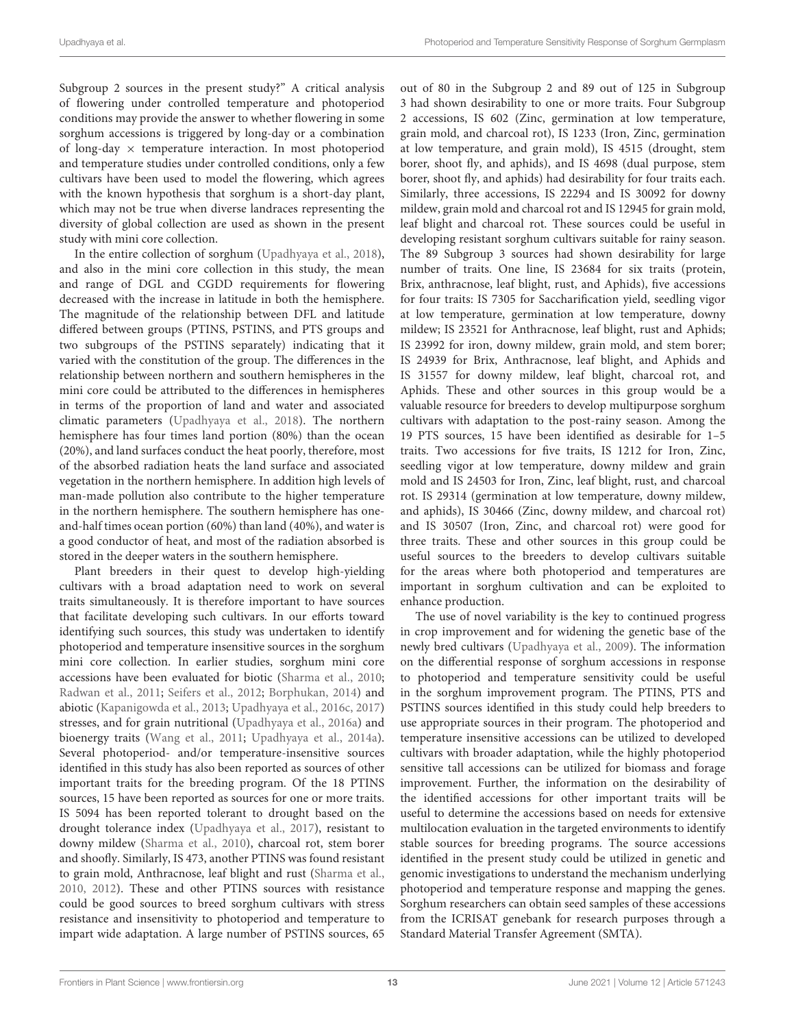Subgroup 2 sources in the present study?" A critical analysis of flowering under controlled temperature and photoperiod conditions may provide the answer to whether flowering in some sorghum accessions is triggered by long-day or a combination of long-day  $\times$  temperature interaction. In most photoperiod and temperature studies under controlled conditions, only a few cultivars have been used to model the flowering, which agrees with the known hypothesis that sorghum is a short-day plant, which may not be true when diverse landraces representing the diversity of global collection are used as shown in the present study with mini core collection.

In the entire collection of sorghum [\(Upadhyaya et al.,](#page-14-6) [2018\)](#page-14-6), and also in the mini core collection in this study, the mean and range of DGL and CGDD requirements for flowering decreased with the increase in latitude in both the hemisphere. The magnitude of the relationship between DFL and latitude differed between groups (PTINS, PSTINS, and PTS groups and two subgroups of the PSTINS separately) indicating that it varied with the constitution of the group. The differences in the relationship between northern and southern hemispheres in the mini core could be attributed to the differences in hemispheres in terms of the proportion of land and water and associated climatic parameters [\(Upadhyaya et al.,](#page-14-6) [2018\)](#page-14-6). The northern hemisphere has four times land portion (80%) than the ocean (20%), and land surfaces conduct the heat poorly, therefore, most of the absorbed radiation heats the land surface and associated vegetation in the northern hemisphere. In addition high levels of man-made pollution also contribute to the higher temperature in the northern hemisphere. The southern hemisphere has oneand-half times ocean portion (60%) than land (40%), and water is a good conductor of heat, and most of the radiation absorbed is stored in the deeper waters in the southern hemisphere.

Plant breeders in their quest to develop high-yielding cultivars with a broad adaptation need to work on several traits simultaneously. It is therefore important to have sources that facilitate developing such cultivars. In our efforts toward identifying such sources, this study was undertaken to identify photoperiod and temperature insensitive sources in the sorghum mini core collection. In earlier studies, sorghum mini core accessions have been evaluated for biotic [\(Sharma et al.,](#page-13-22) [2010;](#page-13-22) [Radwan et al.,](#page-13-23) [2011;](#page-13-23) [Seifers et al.,](#page-13-24) [2012;](#page-13-24) [Borphukan,](#page-13-25) [2014\)](#page-13-25) and abiotic [\(Kapanigowda et al.,](#page-13-26) [2013;](#page-13-26) [Upadhyaya et al.,](#page-14-7) [2016c,](#page-14-7) [2017\)](#page-13-13) stresses, and for grain nutritional [\(Upadhyaya et al.,](#page-13-27) [2016a\)](#page-13-27) and bioenergy traits [\(Wang et al.,](#page-14-8) [2011;](#page-14-8) [Upadhyaya et al.,](#page-13-14) [2014a\)](#page-13-14). Several photoperiod- and/or temperature-insensitive sources identified in this study has also been reported as sources of other important traits for the breeding program. Of the 18 PTINS sources, 15 have been reported as sources for one or more traits. IS 5094 has been reported tolerant to drought based on the drought tolerance index [\(Upadhyaya et al.,](#page-13-13) [2017\)](#page-13-13), resistant to downy mildew [\(Sharma et al.,](#page-13-22) [2010\)](#page-13-22), charcoal rot, stem borer and shoofly. Similarly, IS 473, another PTINS was found resistant to grain mold, Anthracnose, leaf blight and rust [\(Sharma et al.,](#page-13-22) [2010,](#page-13-22) [2012\)](#page-13-28). These and other PTINS sources with resistance could be good sources to breed sorghum cultivars with stress resistance and insensitivity to photoperiod and temperature to impart wide adaptation. A large number of PSTINS sources, 65

out of 80 in the Subgroup 2 and 89 out of 125 in Subgroup 3 had shown desirability to one or more traits. Four Subgroup 2 accessions, IS 602 (Zinc, germination at low temperature, grain mold, and charcoal rot), IS 1233 (Iron, Zinc, germination at low temperature, and grain mold), IS 4515 (drought, stem borer, shoot fly, and aphids), and IS 4698 (dual purpose, stem borer, shoot fly, and aphids) had desirability for four traits each. Similarly, three accessions, IS 22294 and IS 30092 for downy mildew, grain mold and charcoal rot and IS 12945 for grain mold, leaf blight and charcoal rot. These sources could be useful in developing resistant sorghum cultivars suitable for rainy season. The 89 Subgroup 3 sources had shown desirability for large number of traits. One line, IS 23684 for six traits (protein, Brix, anthracnose, leaf blight, rust, and Aphids), five accessions for four traits: IS 7305 for Saccharification yield, seedling vigor at low temperature, germination at low temperature, downy mildew; IS 23521 for Anthracnose, leaf blight, rust and Aphids; IS 23992 for iron, downy mildew, grain mold, and stem borer; IS 24939 for Brix, Anthracnose, leaf blight, and Aphids and IS 31557 for downy mildew, leaf blight, charcoal rot, and Aphids. These and other sources in this group would be a valuable resource for breeders to develop multipurpose sorghum cultivars with adaptation to the post-rainy season. Among the 19 PTS sources, 15 have been identified as desirable for 1–5 traits. Two accessions for five traits, IS 1212 for Iron, Zinc, seedling vigor at low temperature, downy mildew and grain mold and IS 24503 for Iron, Zinc, leaf blight, rust, and charcoal rot. IS 29314 (germination at low temperature, downy mildew, and aphids), IS 30466 (Zinc, downy mildew, and charcoal rot) and IS 30507 (Iron, Zinc, and charcoal rot) were good for three traits. These and other sources in this group could be useful sources to the breeders to develop cultivars suitable for the areas where both photoperiod and temperatures are important in sorghum cultivation and can be exploited to enhance production.

The use of novel variability is the key to continued progress in crop improvement and for widening the genetic base of the newly bred cultivars [\(Upadhyaya et al.,](#page-14-4) [2009\)](#page-14-4). The information on the differential response of sorghum accessions in response to photoperiod and temperature sensitivity could be useful in the sorghum improvement program. The PTINS, PTS and PSTINS sources identified in this study could help breeders to use appropriate sources in their program. The photoperiod and temperature insensitive accessions can be utilized to developed cultivars with broader adaptation, while the highly photoperiod sensitive tall accessions can be utilized for biomass and forage improvement. Further, the information on the desirability of the identified accessions for other important traits will be useful to determine the accessions based on needs for extensive multilocation evaluation in the targeted environments to identify stable sources for breeding programs. The source accessions identified in the present study could be utilized in genetic and genomic investigations to understand the mechanism underlying photoperiod and temperature response and mapping the genes. Sorghum researchers can obtain seed samples of these accessions from the ICRISAT genebank for research purposes through a Standard Material Transfer Agreement (SMTA).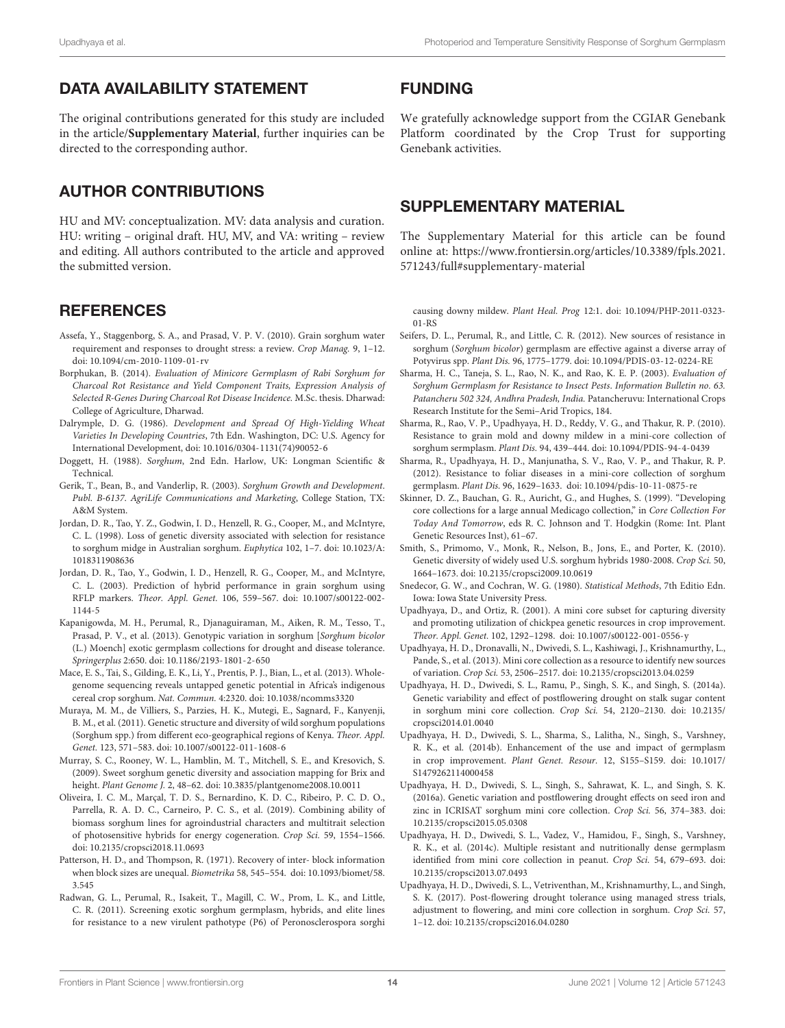### DATA AVAILABILITY STATEMENT

The original contributions generated for this study are included in the article/**[Supplementary Material](#page-13-18)**, further inquiries can be directed to the corresponding author.

### AUTHOR CONTRIBUTIONS

HU and MV: conceptualization. MV: data analysis and curation. HU: writing – original draft. HU, MV, and VA: writing – review and editing. All authors contributed to the article and approved the submitted version.

### **REFERENCES**

- <span id="page-13-1"></span>Assefa, Y., Staggenborg, S. A., and Prasad, V. P. V. (2010). Grain sorghum water requirement and responses to drought stress: a review. Crop Manag. 9, 1–12. [doi: 10.1094/cm-2010-1109-01-rv](https://doi.org/10.1094/cm-2010-1109-01-rv)
- <span id="page-13-25"></span>Borphukan, B. (2014). Evaluation of Minicore Germplasm of Rabi Sorghum for Charcoal Rot Resistance and Yield Component Traits, Expression Analysis of Selected R-Genes During Charcoal Rot Disease Incidence. M.Sc. thesis. Dharwad: College of Agriculture, Dharwad.
- <span id="page-13-2"></span>Dalrymple, D. G. (1986). Development and Spread Of High-Yielding Wheat Varieties In Developing Countries, 7th Edn. Washington, DC: U.S. Agency for International Development, [doi: 10.1016/0304-1131\(74\)90052-6](https://doi.org/10.1016/0304-1131(74)90052-6)
- <span id="page-13-0"></span>Doggett, H. (1988). Sorghum, 2nd Edn. Harlow, UK: Longman Scientific & Technical.
- <span id="page-13-16"></span>Gerik, T., Bean, B., and Vanderlip, R. (2003). Sorghum Growth and Development. Publ. B-6137. AgriLife Communications and Marketing, College Station, TX: A&M System.
- <span id="page-13-8"></span>Jordan, D. R., Tao, Y. Z., Godwin, I. D., Henzell, R. G., Cooper, M., and McIntyre, C. L. (1998). Loss of genetic diversity associated with selection for resistance to sorghum midge in Australian sorghum. Euphytica 102, 1–7. [doi: 10.1023/A:](https://doi.org/10.1023/A:1018311908636) [1018311908636](https://doi.org/10.1023/A:1018311908636)
- <span id="page-13-9"></span>Jordan, D. R., Tao, Y., Godwin, I. D., Henzell, R. G., Cooper, M., and McIntyre, C. L. (2003). Prediction of hybrid performance in grain sorghum using RFLP markers. Theor. Appl. Genet. 106, 559–567. [doi: 10.1007/s00122-002-](https://doi.org/10.1007/s00122-002-1144-5) [1144-5](https://doi.org/10.1007/s00122-002-1144-5)
- <span id="page-13-26"></span>Kapanigowda, M. H., Perumal, R., Djanaguiraman, M., Aiken, R. M., Tesso, T., Prasad, P. V., et al. (2013). Genotypic variation in sorghum [Sorghum bicolor (L.) Moench] exotic germplasm collections for drought and disease tolerance. Springerplus 2:650. [doi: 10.1186/2193-1801-2-650](https://doi.org/10.1186/2193-1801-2-650)
- <span id="page-13-5"></span>Mace, E. S., Tai, S., Gilding, E. K., Li, Y., Prentis, P. J., Bian, L., et al. (2013). Wholegenome sequencing reveals untapped genetic potential in Africa's indigenous cereal crop sorghum. Nat. Commun. 4:2320. [doi: 10.1038/ncomms3320](https://doi.org/10.1038/ncomms3320)
- <span id="page-13-4"></span>Muraya, M. M., de Villiers, S., Parzies, H. K., Mutegi, E., Sagnard, F., Kanyenji, B. M., et al. (2011). Genetic structure and diversity of wild sorghum populations (Sorghum spp.) from different eco-geographical regions of Kenya. Theor. Appl. Genet. 123, 571–583. [doi: 10.1007/s00122-011-1608-6](https://doi.org/10.1007/s00122-011-1608-6)
- <span id="page-13-6"></span>Murray, S. C., Rooney, W. L., Hamblin, M. T., Mitchell, S. E., and Kresovich, S. (2009). Sweet sorghum genetic diversity and association mapping for Brix and height. Plant Genome J. 2, 48–62. [doi: 10.3835/plantgenome2008.10.0011](https://doi.org/10.3835/plantgenome2008.10.0011)
- <span id="page-13-21"></span>Oliveira, I. C. M., Marçal, T. D. S., Bernardino, K. D. C., Ribeiro, P. C. D. O., Parrella, R. A. D. C., Carneiro, P. C. S., et al. (2019). Combining ability of biomass sorghum lines for agroindustrial characters and multitrait selection of photosensitive hybrids for energy cogeneration. Crop Sci. 59, 1554–1566. [doi: 10.2135/cropsci2018.11.0693](https://doi.org/10.2135/cropsci2018.11.0693)
- <span id="page-13-17"></span>Patterson, H. D., and Thompson, R. (1971). Recovery of inter- block information when block sizes are unequal. Biometrika 58, 545–554. [doi: 10.1093/biomet/58.](https://doi.org/10.1093/biomet/58.3.545) [3.545](https://doi.org/10.1093/biomet/58.3.545)
- <span id="page-13-23"></span>Radwan, G. L., Perumal, R., Isakeit, T., Magill, C. W., Prom, L. K., and Little, C. R. (2011). Screening exotic sorghum germplasm, hybrids, and elite lines for resistance to a new virulent pathotype (P6) of Peronosclerospora sorghi

### FUNDING

We gratefully acknowledge support from the CGIAR Genebank Platform coordinated by the Crop Trust for supporting Genebank activities.

### <span id="page-13-18"></span>SUPPLEMENTARY MATERIAL

The Supplementary Material for this article can be found online at: [https://www.frontiersin.org/articles/10.3389/fpls.2021.](https://www.frontiersin.org/articles/10.3389/fpls.2021.571243/full#supplementary-material) [571243/full#supplementary-material](https://www.frontiersin.org/articles/10.3389/fpls.2021.571243/full#supplementary-material)

causing downy mildew. Plant Heal. Prog 12:1. [doi: 10.1094/PHP-2011-0323-](https://doi.org/10.1094/PHP-2011-0323-01-RS) [01-RS](https://doi.org/10.1094/PHP-2011-0323-01-RS)

- <span id="page-13-24"></span>Seifers, D. L., Perumal, R., and Little, C. R. (2012). New sources of resistance in sorghum (Sorghum bicolor) germplasm are effective against a diverse array of Potyvirus spp. Plant Dis. 96, 1775–1779. [doi: 10.1094/PDIS-03-12-0224-RE](https://doi.org/10.1094/PDIS-03-12-0224-RE)
- <span id="page-13-15"></span>Sharma, H. C., Taneja, S. L., Rao, N. K., and Rao, K. E. P. (2003). Evaluation of Sorghum Germplasm for Resistance to Insect Pests. Information Bulletin no. 63. Patancheru 502 324, Andhra Pradesh, India. Patancheruvu: International Crops Research Institute for the Semi–Arid Tropics, 184.
- <span id="page-13-22"></span>Sharma, R., Rao, V. P., Upadhyaya, H. D., Reddy, V. G., and Thakur, R. P. (2010). Resistance to grain mold and downy mildew in a mini-core collection of sorghum sermplasm. Plant Dis. 94, 439–444. [doi: 10.1094/PDIS-94-4-0439](https://doi.org/10.1094/PDIS-94-4-0439)
- <span id="page-13-28"></span>Sharma, R., Upadhyaya, H. D., Manjunatha, S. V., Rao, V. P., and Thakur, R. P. (2012). Resistance to foliar diseases in a mini-core collection of sorghum germplasm. Plant Dis. 96, 1629–1633. [doi: 10.1094/pdis-10-11-0875-re](https://doi.org/10.1094/pdis-10-11-0875-re)
- <span id="page-13-20"></span>Skinner, D. Z., Bauchan, G. R., Auricht, G., and Hughes, S. (1999). "Developing core collections for a large annual Medicago collection," in Core Collection For Today And Tomorrow, eds R. C. Johnson and T. Hodgkin (Rome: Int. Plant Genetic Resources Inst), 61–67.
- <span id="page-13-7"></span>Smith, S., Primomo, V., Monk, R., Nelson, B., Jons, E., and Porter, K. (2010). Genetic diversity of widely used U.S. sorghum hybrids 1980-2008. Crop Sci. 50, 1664–1673. [doi: 10.2135/cropsci2009.10.0619](https://doi.org/10.2135/cropsci2009.10.0619)
- <span id="page-13-19"></span>Snedecor, G. W., and Cochran, W. G. (1980). Statistical Methods, 7th Editio Edn. Iowa: Iowa State University Press.
- <span id="page-13-10"></span>Upadhyaya, D., and Ortiz, R. (2001). A mini core subset for capturing diversity and promoting utilization of chickpea genetic resources in crop improvement. Theor. Appl. Genet. 102, 1292–1298. [doi: 10.1007/s00122-001-0556-y](https://doi.org/10.1007/s00122-001-0556-y)
- <span id="page-13-11"></span>Upadhyaya, H. D., Dronavalli, N., Dwivedi, S. L., Kashiwagi, J., Krishnamurthy, L., Pande, S., et al. (2013). Mini core collection as a resource to identify new sources of variation. Crop Sci. 53, 2506–2517. [doi: 10.2135/cropsci2013.04.0259](https://doi.org/10.2135/cropsci2013.04.0259)
- <span id="page-13-14"></span>Upadhyaya, H. D., Dwivedi, S. L., Ramu, P., Singh, S. K., and Singh, S. (2014a). Genetic variability and effect of postflowering drought on stalk sugar content in sorghum mini core collection. Crop Sci. 54, 2120–2130. [doi: 10.2135/](https://doi.org/10.2135/cropsci2014.01.0040) [cropsci2014.01.0040](https://doi.org/10.2135/cropsci2014.01.0040)
- <span id="page-13-3"></span>Upadhyaya, H. D., Dwivedi, S. L., Sharma, S., Lalitha, N., Singh, S., Varshney, R. K., et al. (2014b). Enhancement of the use and impact of germplasm in crop improvement. Plant Genet. Resour. 12, S155–S159. [doi: 10.1017/](https://doi.org/10.1017/S1479262114000458) [S1479262114000458](https://doi.org/10.1017/S1479262114000458)
- <span id="page-13-27"></span>Upadhyaya, H. D., Dwivedi, S. L., Singh, S., Sahrawat, K. L., and Singh, S. K. (2016a). Genetic variation and postflowering drought effects on seed iron and zinc in ICRISAT sorghum mini core collection. Crop Sci. 56, 374–383. [doi:](https://doi.org/10.2135/cropsci2015.05.0308) [10.2135/cropsci2015.05.0308](https://doi.org/10.2135/cropsci2015.05.0308)
- <span id="page-13-12"></span>Upadhyaya, H. D., Dwivedi, S. L., Vadez, V., Hamidou, F., Singh, S., Varshney, R. K., et al. (2014c). Multiple resistant and nutritionally dense germplasm identified from mini core collection in peanut. Crop Sci. 54, 679–693. [doi:](https://doi.org/10.2135/cropsci2013.07.0493) [10.2135/cropsci2013.07.0493](https://doi.org/10.2135/cropsci2013.07.0493)
- <span id="page-13-13"></span>Upadhyaya, H. D., Dwivedi, S. L., Vetriventhan, M., Krishnamurthy, L., and Singh, S. K. (2017). Post-flowering drought tolerance using managed stress trials, adjustment to flowering, and mini core collection in sorghum. Crop Sci. 57, 1–12. [doi: 10.2135/cropsci2016.04.0280](https://doi.org/10.2135/cropsci2016.04.0280)